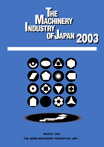





**MARCH 2004** THE JAPAN MACHINERY FEDERATION JMF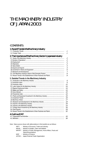# THE MACHINERY INDUSTRY OF JAPAN 2003

### **CONTENTS**

| 1. RecentTrendsintheMachineryIndustry                                                                                                                                                                                                                                                                                                                                                     |                             |
|-------------------------------------------------------------------------------------------------------------------------------------------------------------------------------------------------------------------------------------------------------------------------------------------------------------------------------------------------------------------------------------------|-----------------------------|
|                                                                                                                                                                                                                                                                                                                                                                                           | 1<br>1                      |
| 2. The Importance of the Machinery Sector in Japanese Industry                                                                                                                                                                                                                                                                                                                            |                             |
|                                                                                                                                                                                                                                                                                                                                                                                           | $\overline{2}$              |
|                                                                                                                                                                                                                                                                                                                                                                                           | $\mathcal{Z}_{\mathcal{C}}$ |
|                                                                                                                                                                                                                                                                                                                                                                                           | $\overline{2}$              |
|                                                                                                                                                                                                                                                                                                                                                                                           | $\overline{2}$              |
|                                                                                                                                                                                                                                                                                                                                                                                           | 4                           |
|                                                                                                                                                                                                                                                                                                                                                                                           | 4                           |
|                                                                                                                                                                                                                                                                                                                                                                                           | 6                           |
|                                                                                                                                                                                                                                                                                                                                                                                           | $\overline{\phantom{a}}$    |
|                                                                                                                                                                                                                                                                                                                                                                                           | 8                           |
|                                                                                                                                                                                                                                                                                                                                                                                           | 8                           |
| 3. Detailed Trends in the Machinery Industry                                                                                                                                                                                                                                                                                                                                              |                             |
|                                                                                                                                                                                                                                                                                                                                                                                           | 9                           |
|                                                                                                                                                                                                                                                                                                                                                                                           | 9                           |
|                                                                                                                                                                                                                                                                                                                                                                                           | 12                          |
|                                                                                                                                                                                                                                                                                                                                                                                           | 14                          |
|                                                                                                                                                                                                                                                                                                                                                                                           | 14                          |
|                                                                                                                                                                                                                                                                                                                                                                                           | 14                          |
| $\textbf{(3) Hours Worked} \textit{} \textit{} \textit{} \textit{} \textit{} \textit{} \textit{} \textit{} \textit{} \textit{} \textit{} \textit{} \textit{} \textit{} \textit{} \textit{} \textit{} \textit{} \textit{} \textit{} \textit{} \textit{} \textit{} \textit{} \textit{} \textit{} \textit{} \textit{} \textit{} \textit{} \textit{} \textit{} \textit{} \textit{} \textit{}$ | 15                          |

|                  | 15  |
|------------------|-----|
|                  | 16  |
|                  | 16  |
|                  | 17  |
|                  | 1.9 |
|                  | 20  |
|                  | 23  |
|                  | 26  |
|                  | 29  |
|                  |     |
| 4 Outline of JMF |     |
|                  |     |

Note Data sources shown with abbreviations in this booklet are as follows:

- METI : Ministry of Economy, Trade and Industry
- MHLW : Ministry of Health, Labor and Welfare
- MPHPT: Ministry of Public Management, Home Affairs, Posts and Telecommunications
- MOF : Ministry of Finance
- JETRO : Japan External Trade Organization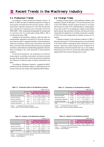# 1 Recent Trends in the Machinery Industry

### 1-1. Production Trends

According to "Current Production Statistics Survey" of METI, in 2002, the index of industrial production of Japan in each quarter increased from the previous quarter, while at yearly base it showed a decrease of 1.4% from the previous year, a decline of 2 consecutive years. The index was 91.9 in  $2002 (2000 = 100)$ , weakening from gradually increasing trend in a previous year. As revised index taking 2000 as 100, it was the lowest since 1998.

Looking at the machinery industry, while the index for transportation equipment increased 6.5% from the previous year, those for other 3 categories declined. General machinery, electrical machinery and precision instruments decreased 8.0%, 4.2% and 10.6% each from the previous year. In general machinery, semiconductor manufacturing equipment seriously dropt according to the weak demands of semiconductor products.

In electrical machinery, the production of electrical measuring & controlling instruments declined seriously because of decreased orders, and in the precision instruments the influence of reduced output of optical instruments was great.

According to "Machinery Statistics" compiled by METI, production for the machinery industry in 2002 showed a 0.1% increase from the year earlier and totaled ¥62,003.0 billion.

### 1-2. Foreign Trade

Looking at export trends in the machinery industry, total machinery exports in 2002 grew 5.7% from the previous year to ¥37,542.0 billion, because of great increase of car export and increase of export of IT related products. Good progress of car sales in the U.S. by putting new models on the market and by special sales promotion activities, and removal of extra custom duty for imported cars in China as it became a member of WTO were the background for healthy increase of car exports.

Looking at imports in the machinery industry in 2002, it showed an increase of 1.6% from the previous year and totaled to ¥13,434.0 billion, marking the third consecutive year of increase. However, in spite of great increase of imports of IT related products, the level of growth rate was as very small as the previous year (2.3%). As a result, the trade surplus in 2002 registered the first increase during resent 3 years.

| Table 1-1. Production Index in the Machinery Industry |  |                  |  |
|-------------------------------------------------------|--|------------------|--|
|                                                       |  | $(2000 = 100, %$ |  |

|                          | <b>Production Index</b> | Change (from previous year) |      |      |                  |      |
|--------------------------|-------------------------|-----------------------------|------|------|------------------|------|
|                          | 2002                    | 2000                        | 2001 | 2002 | 2003.1           | 6    |
| Mining and manufacturing | 91.9                    | 5.7                         | 6.8  | 1.4  | 4.1              | 1.6) |
| General machinery        | 81.9                    | 9.2                         | 11.1 | 8.0  | 6.3(             | 4.6) |
| Electrical machinery     | 87.3                    | 6.2                         | 8.9  | 4.2  | 5.5(             | 5.0) |
| Transportation equipment | 106.4                   | 4.0                         | 0.1  | 6.5  | 1.2 <sub>0</sub> | 4.7) |
| Precision instruments    | 80.1                    | 4.0                         | 10.4 | 10.6 | 3.6              | 4.1) |
|                          |                         |                             |      |      |                  |      |

( Note ) ( ) Change from previous half year

( Source ) METI [ Current Production Statistics Survey ]

## (billion yen, %)

**Table 1-2. Production in the Machinery Industry**

|                              | Production | Change (from previous year) |      |      |        |      |  |
|------------------------------|------------|-----------------------------|------|------|--------|------|--|
|                              | 2002       | 2000                        | 2001 | 2002 | 2003.1 | 6    |  |
| General machinery            | 10,182     | 8.6                         | 12.7 | 9.4  | 5.8    | 5.2) |  |
| Electrical machinery         | 22,705     | 8.9                         | 16.0 | 11.1 | 4.0    | 0.5) |  |
| Transportation equipment     | 28,497     | 5.7                         | 2.7  | 16.5 | 4.3(   | 0.3) |  |
| <b>Precision instruments</b> | 619        | 4.7                         | 11.2 | 12.6 | 6.7    | 0.9) |  |
| Total                        | 62.003     | 7.5                         | 8.8  | 0.1  | 4.4    | 1.2) |  |

( Note ) ( ) Change from previous half year

( Source ) METI [ Current Production Statistics Survey ]

#### **Table 1-3. Exports in the Machinery Industry**

| (billion yen, %)         |         |                             |      |      |                  |      |  |  |
|--------------------------|---------|-----------------------------|------|------|------------------|------|--|--|
|                          | Exports | Change (from previous year) |      |      |                  |      |  |  |
|                          | 2002    | 2000                        | 2001 | 2002 | 2003.1           | 6    |  |  |
| General machinery        | 10,599  | 9.3                         | 7.8  | 3.6  | 3.4              | 1.2) |  |  |
| Electrical machinery     | 11,924  | 18.2                        | 15.6 | 3.4  | 6.2              | 4.4) |  |  |
| Transportation equipment | 13,000  | 0.3                         | 2.8  | 16.8 | 3.7              | 0.0) |  |  |
| Precision instruments    | 2.019   | 15.3                        | 5.2  | 23.2 | 0.5 <sub>0</sub> | 5.1) |  |  |
| Total                    | 37,542  | 9.9                         | 7.4  | 5.7  | 4.2              | 2.1) |  |  |

( Note ) ( ) Change from previous half year

( Source ) [ Trade Statistics ]

#### **Table 1-4. Imports in the Machinery Industry**

| (billion yen, %) |        |                             |      |  |               |      |  |  |  |
|------------------|--------|-----------------------------|------|--|---------------|------|--|--|--|
|                  | Import | Change (from previous year) |      |  |               |      |  |  |  |
|                  | 2002   | 2000                        | 2001 |  | 2002 2003.1   | 6    |  |  |  |
| Total            | 13,434 | 17.0                        | 2.3  |  | $1.6$   $0.9$ | 0.0) |  |  |  |

( Note ) ( ) Change from previous half year

( Source ) [ Trade Statistics ]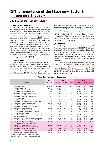### 2-1. Scale of the Machinery Industry

### (1) Number of Operations

According to METI's industrial statistics, at the end of 2001, manufacturing operations with four or more employees numbered 316,267, representing a decrease of 7.4% or 25,154 plants since the end of 2000. Of these, the number of operations belonging to the machinery industry was 79,024, representing a decrease of 8.2% or 7,024 plants since 2000. Machinery industry plants made up 25.0% of all manufacturing operations, decreasing 0.2 points from the end of 2000.

Breaking down the machinery industry plants by sector, general machinery, with its large number of small and mediumsized enterprises, accounted for the most plants with 36,907 (46.7% of all plants in the machinery industry), followed by electric machinery sector with 24,396 plants (30.9%), transportation machinery with 12,684 (16.1%), and precision machinery plants with 5,037 (6.4%).

### (2) Employment

At the end of 2001, there were 8,866,220 people employed in manufacturing operations with four or more employees. This represented a 3.5% reduction (317,613 jobs) from the year earlier, and a decrease for 10 consecutive years. Employment in the machinery industry was 3,464,523 people, or a 4.8% decrease (174,633 jobs) from the previous year. The machinery industry accounted for 39.1% of all manufacturing employment, decreasing 0.5 points from the previous year.

By sector, electric machinery employed the most people with 1,451,804 (41.9% of total machinery industry employment), followed by general machinery with 1,001,192 (28.9%), transportation with 846,331 (24.4%), and precision machinery with 165,196 (4.8%).

#### (3) Shipments

In 2001, shipments for all manufacturing operations with four or more employees amounted to ¥286,667,406 million, a decrease of 4.6% or ¥13,810,198 million from the previous year. Machinery industry shipments were ¥130,075,316 million, down 8.7% or ¥12,469,896 million from the previous year. Machinery industry shipments accounted for 45.4% of overall manufacturing shipments, down 2.0 points from the year earlier.

By sector, electric machinery shipments led the way with ¥52,465,722 million (40.3% of the machinery industry shipments), followed by transportation machinery shipments with ¥45,152,216 million (34.7%), general machinery with ¥28,457,479 million (21.9%), and precision machinery with ¥3,999,899 million (3.1%).

|    |                                                 | 1999                    | 2000                    |                |                |                         | 2001           |                |
|----|-------------------------------------------------|-------------------------|-------------------------|----------------|----------------|-------------------------|----------------|----------------|
|    | <b>Industries</b>                               | Number of<br>operations | Number of<br>operations | Change<br>(% ) | Weight<br>(% ) | Number of<br>operations | Change<br>(% ) | Weight<br>(% ) |
|    | Total (Manufacturing)                           | 345,457                 | 341,421                 | 98.8           | 100.0          | 316,267                 | 92.6           | 100.0          |
| 12 | Food manufacturing                              | 39,659                  | 39,395                  | 99.3           | 11.5           | 37,491                  | 95.2           | 11.9           |
| 13 | Manufacture of beverage, food and tobacco       | 5,211                   | 5,376                   | 103.2          | 1.6            | 5,061                   | 94.1           | 1.6            |
| 14 | Manufacture of textile mill products            | 12,304                  | 11,384                  | 92.5           | 3.3            | 10,456                  | 91.8           | 3.3            |
| 15 | Manufacture of apparel and other finished       | 25,820                  | 23,735                  | 91.9           | 6.9            | 20,750                  | 87.4           | 6.6            |
|    | product made fabrics                            |                         |                         |                |                |                         |                |                |
| 16 | Manufacture of lumber and wood products         | 13,400                  | 12,984                  | 96.9           | 3.8            | 11,746                  | 90.5           | 3.7            |
|    | except furniture                                |                         |                         |                |                |                         |                |                |
| 17 | Manufacture of furniture and fixtures           | 13,003                  | 12,417                  | 95.5           | 3.6            | 11,772                  | 94.8           | 3.7            |
| 18 | Manufacture of pulp, paper and paper products   | 9,717                   | 9,589                   | 98.7           | 2.8            | 9,014                   | 94.0           | 2.9            |
| 19 | Publishing, printing and allied products        | 25,275                  | 24,876                  | 98.4           | 7.3            | 23.095                  | 92.8           | 7.3            |
| 20 | Manufacture of chemical and allied products     | 5,280                   | 5,263                   | 99.7           | 1.5            | 5,152                   | 97.9           | 1.6            |
| 21 | Manufacture of petroleum and coal products      | 1,156                   | 1,137                   | 98.3           | 0.3            | 1,084                   | 95.3           | 0.3            |
| 22 | Manufacture of plastic products                 | 18,582                  | 18,875                  | 101.6          | 5.5            | 17,767                  | 94.1           | 5.6            |
| 23 | Manufacture of rubber products                  | 4,357                   | 4,277                   | 98.2           | 1.2            | 4,048                   | 94.6           | 1.3            |
| 24 | Leather tanning and manufacture of leather      | 3,932                   | 3,594                   | 91.4           | 0.8            | 3,397                   | 94.5           | 1.1            |
|    | products, and fur skins                         |                         |                         |                |                |                         |                |                |
| 25 | Manufacture of ceramic, stone and clay products | 17,704                  | 17,388                  | 98.2           | 5.1            | 16,420                  | 94.4           | 5.2            |
| 26 | Iron and steel industry                         | 5,223                   | 5,154                   | 98.7           | 1.5            | 4,922                   | 95.5           | 1.6            |
| 27 | Manufacture of non-ferrous metals and products  | 3,573                   | 3,575                   | 100.0          | 1.0            | 3,342                   | 93.5           | 1.1            |
| 28 | Manufacture of fabricated metals and products   | 42,385                  | 42,807                  | 101.0          | 12.5           | 39,626                  | 92.6           | 12.5           |
| 29 | Manufacture of general machinery                | 38,991                  | 39,943                  | 102.4          | 11.7           | 36,907                  | 92.4           | 11.7           |
|    | (included 33 manufacture of ordnance)           |                         |                         |                |                |                         |                |                |
| 30 | Manufacture of electrical machinery             | 27,522                  | 27,282                  | 99.1           | 8.0            | 24,396                  | 89.4           | 7.7            |
| 31 | Manufacture of transportation equipment         | 13,327                  | 13,342                  | 100.1          | 3.9            | 12,684                  | 95.1           | 4.0            |
| 32 | Manufacture of precision instruments            | 5,469                   | 5,481                   | 100.2          | 1.6            | 5,037                   | 91.9           | 1.6            |
|    | Total of machinery industry (29<br>32)          | 85,309                  | 86,048                  | 100.9          | 25.2           | 79,024                  | 91.8           | 25.0           |
| 34 | Miscellaneous manufacturing industries          | 13,570                  | 13,547                  | 99.8           | 4.0            | 12,100                  | 89.3           | 3.8            |

**Table 2-1. Number of Operations**

(Notes) Operations with 4 or more employees (Source) METI [ Census of Manufactures 2001 ]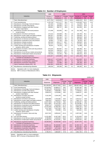|    |                                                 | 1999      | 2000      |        |        | 2001      |        |        |
|----|-------------------------------------------------|-----------|-----------|--------|--------|-----------|--------|--------|
|    | <b>Industries</b>                               | Number of | Number of | Change | Weight | Number of | Change | Weight |
|    |                                                 | employees | employees | (% )   | (%)    | employees | (% )   | (% )   |
|    | Total (Manufacturing)                           | 9,377,750 | 9,183,833 | 97.9   | 100.0  | 8,866,220 | 96.5   | 100.0  |
| 12 | Food manufacturing                              | 1,133,749 | 1,127,177 | 99.4   | 12.3   | 1,155,025 | 102.5  | 13.0   |
| 13 | Manufacture of beverage, food and tobacco       | 115,190   | 112,658   | 97.8   | 1.2    | 111,530   | 99.0   | 1.3    |
| 14 | Manufacture of textile mill products            | 201,232   | 184,004   | 91.4   | 2.0    | 170,812   | 92.8   | 1.9    |
| 15 | Manufacture of apparel and other finished       | 439,651   | 386,727   | 88.0   | 4.2    | 344,453   | 89.1   | 3.9    |
|    | product made fabrics                            |           |           |        |        |           |        |        |
| 16 | Manufacture of lumber and wood products         | 171,048   | 162,905   | 95.2   | 1.8    | 151,788   | 93.2   | 1.7    |
|    | except furniture                                |           |           |        |        |           |        |        |
| 17 | Manufacture of furniture and fixtures           | 172,213   | 163,838   | 95.1   | 1.8    | 155,763   | 95.1   | 1.8    |
| 18 | Manufacture of pulp, paper and paper products   | 250,257   | 242,969   | 97.1   | 2.6    | 235,944   | 97.1   | 2.7    |
| 19 | Publishing, printing and allied products        | 516,554   | 502,184   | 97.2   | 5.5    | 496,653   | 98.9   | 5.6    |
| 20 | Manufacture of chemical and allied products     | 370,694   | 365,953   | 98.7   | 4.0    | 364,068   | 99.5   | 4.1    |
| 21 | Manufacture of petroleum and coal products      | 28,904    | 27,145    | 93.9   | 0.3    | 26,245    | 96.7   | 0.3    |
| 22 | Manufacture of plastic products                 | 430,349   | 433,177   | 100.7  | 4.7    | 428,645   | 99.0   | 4.8    |
| 23 | Manufacture of rubber products                  | 134,737   | 131,532   | 97.6   | 1.4    | 127,331   | 96.8   | 1.4    |
| 24 | Leather tanning and manufacture of leather      | 48,024    | 44,233    | 92.1   | 0.5    | 41,488    | 93.8   | 0.5    |
|    | products, and fur skins                         |           |           |        |        |           |        |        |
| 25 | Manufacture of ceramic, stone and clay products | 373,225   | 363,997   | 97.5   | 4.0    | 348,286   | 95.7   | 3.9    |
| 26 | Iron and steel industry                         | 242,616   | 236,525   | 97.5   | 2.6    | 223,817   | 94.6   | 2.5    |
| 27 | Manufacture of non-ferrous metals and products  | 140.814   | 141.872   | 100.7  | 1.5    | 134.145   | 94.6   | 1.5    |
| 28 | Manufacture of fabricated metals and products   | 728,199   | 722,425   | 99.2   | 7.9    | 699,422   | 96.8   | 7.9    |
| 29 | Manufacture of general machinery                | 1,041,627 | 1,043,890 | 100.2  | 11.4   | 1,001,192 | 95.9   | 11.3   |
|    | (included 33 manufacture of ordnance)           |           |           |        |        |           |        |        |
| 30 | Manufacture of electrical machinery             | 1,604,147 | 1,573,683 | 98.1   | 17.1   | 1,451,804 | 92.3   | 16.4   |
| 31 | Manufacture of transportation equipment         | 857,039   | 849,517   | 99.1   | 9.2    | 846,331   | 99.6   | 9.5    |
| 32 | Manufacture of precision instruments            | 178,251   | 172,066   | 96.5   | 1.9    | 165,196   | 96.0   | 1.9    |
|    | Total of machinery industry (29<br>32)          | 3,681,064 | 3,639,156 | 98.9   | 39.6   | 3,464,523 | 95.2   | 39.1   |
| 34 | Miscellaneous manufacturing industries          | 199,230   | 195,356   | 98.0   | 0.2    | 186,282   | 95.4   | 2.1    |

### **Table 2-2. Number of Employees**

(Notes) Operations with 4 or more employees

(Source) METI [ Census of Manufactures 2001 ]

### **Table 2-3. Shipments**

|    | (million yen)                                  |             |                  |                |                |                  |                |               |  |
|----|------------------------------------------------|-------------|------------------|----------------|----------------|------------------|----------------|---------------|--|
|    |                                                | 1999        |                  | 2000           |                |                  | 2001           |               |  |
|    | <b>Industries</b>                              | Shipments   | <b>Shipments</b> | Change<br>(% ) | Weight<br>(% ) | <b>Shipments</b> | Change<br>(% ) | Weight<br>(%) |  |
|    | Total (Manufacturing)                          | 291,449,554 | 300,477,604      | 103.1          | 100.0          | 286,667,406      | 95.4           | 100.0         |  |
| 12 | Food manufacturing                             | 24,333,842  | 23,888,077       | 98.2           | 7.9            | 23,454,150       | 98.2           | 8.2           |  |
| 13 | Manufacture of beverage, food and tobacco      | 10,726,179  | 10,932,925       | 101.9          | 3.6            | 10,914,272       | 99.8           | 3.8           |  |
| 14 | Manufacture of textile mill products           | 3,236,081   | 3,008,080        | 93.0           | 1.0            | 2,736,822        | 91.0           | 1.0           |  |
| 15 | Manufacture of apparel and other finished      | 3,900,874   | 3,478,958        | 89.2           | 1.2            | 3,008,227        | 86.5           | 1.0           |  |
|    | product made fabrics                           |             |                  |                |                |                  |                |               |  |
| 16 | Manufacture of lumber and wood                 | 3,311,504   | 3,194,109        | 96.5           | 1.1            | 2,905,932        | 91.0           | 1.0           |  |
|    | products except furniture                      |             |                  |                |                |                  |                |               |  |
| 17 | Manufacture of furniture and fixtures          | 2.804.890   | 2,703,260        | 94.4           | 0.9            | 2,531,517        | 93.6           | 0.9           |  |
| 18 | Manufacture of pulp, paper and paper products  | 7,862,925   | 7,933,875        | 100.9          | 2.6            | 7,582,775        | 95.6           | 2.6           |  |
| 19 | Publishing, printing and allied products       | 12,877,333  | 12,778,464       | 99.2           | 4.3            | 12,525,367       | 98.0           | 4.4           |  |
| 20 | Manufacture of chemical and allied products    | 23,077,855  | 23,762,228       | 103.0          | 7.9            | 23,228,380       | 97.8           | 8.1           |  |
| 21 | Manufacture of petroleum and coal products     | 8,059,712   | 9,433,625        | 117.0          | 3.1            | 9,612,923        | 101.9          | 3.4           |  |
| 22 | Manufacture of plastic products                | 10,243,490  | 10,486,448       | 102.4          | 3.5            | 9,995,163        | 95.3           | 3.5           |  |
| 23 | Manufacture of rubber products                 | 3,117,165   | 3,107,318        | 99.7           | 1.0            | 2,896,780        | 93.2           | 1.0           |  |
| 24 | Leather tanning and manufacture of leather     | 732,309     | 678,098          | 92.6           | 0.2            | 624,632          | 92.1           | 0.2           |  |
|    | products, and fur skins                        |             |                  |                |                |                  |                |               |  |
| 25 | Manufacture of ceramic, stone and clay         | 8,817,915   | 8,859,642        | 101.6          | 2.9            | 8,397,364        | 94.8           | 2.9           |  |
|    | products                                       |             |                  |                |                |                  |                |               |  |
| 26 | Iron and steel industry                        | 11,321,665  | 11,927,293       | 105.3          | 4.0            | 11,201,829       | 93.9           | 3.9           |  |
| 27 | Manufacture of non-ferrous metals and products | 5,788,960   | 6,190,520        | 106.9          | 2.1            | 5,849,213        | 94.5           | 2.0           |  |
| 28 | Manufacture of fabricated metals and products  | 15,238,215  | 15,142,541       | 99.4           | 5.0            | 14,545,010       | 96.1           | 5.1           |  |
| 29 | Manufacture of general machinery               | 28,260,834  | 34,658,588       | 122.6          | 11.5           | 28,457,479       | 82.1           | 9.9           |  |
|    | (included 33 manufacture of ordnance)          |             |                  |                |                |                  |                |               |  |
| 30 | Manufacture of electrical machinery            | 54,905,121  | 59,448,600       | 108.3          | 19.8           | 52,465,722       | 88.3           | 18.3          |  |
| 31 | Manufacture of transportation equipment        | 43,877,373  | 44,366,979       | 101.1          | 14.8           | 45,152,216       | 101.8          | 15.8          |  |
| 32 | Manufacture of precision instruments           | 4,169,343   | 4,071,045        | 97.6           | 1.4            | 3,999,899        | 98.3           | 1.4           |  |
|    | Total of machinery industry (29<br>32)         | 131,212,671 | 142,545,212      | 108.6          | 47.4           | 130,075,316      | 91.3           | 45.4          |  |
| 34 | Miscellaneous manufacturing industries         | 4,785,971   | 4,686,887        | 97.9           | 1.6            | 4,581,735        | 97.8           | 1.6           |  |

(Notes) Operations with 4 or more employees

(Source) METI [ Census of Manufactures 2001 ]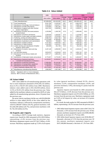### **Table 2-4. Value Added**

|    | (million yen)                                                             |             |             |                |                |             |               |                |
|----|---------------------------------------------------------------------------|-------------|-------------|----------------|----------------|-------------|---------------|----------------|
|    |                                                                           | 1999        |             | 2000           |                |             | 2001          |                |
|    | <b>Industries</b>                                                         | Value added | Value added | Change<br>(% ) | Weight<br>(% ) | Value added | Change<br>(%) | Weight<br>(% ) |
|    | Total (Manufacturing)                                                     | 107,859,559 | 110,242,635 | 102.2          | 100.0          | 103,305,132 | 93.7          | 100.0          |
| 12 | Food manufacturing                                                        | 9,251,769   | 9,130,254   | 98.7           | 8.3            | 8,991,978   | 98.5          | 8.7            |
| 13 | Manufacture of beverage, food and tobacco                                 | 3,341,064   | 3,442,677   | 103.0          | 3.1            | 3,388,142   | 98.4          | 3.3            |
| 14 | Manufacture of textile mill products                                      | 1,370,594   | 1,301,245   | 94.9           | 1.2            | 1,192,205   | 91.6          | 1.2            |
| 15 | Manufacture of apparel and other finished<br>product made fabrics         | 1,847,233   | 1,648,594   | 89.2           | 1.5            | 1,428,017   | 86.6          | 1.4            |
| 16 | Manufacture of lumber and wood products<br>except furniture               | 1,220,958   | 1,190,750   | 97.5           | 1.1            | 1,095,450   | 92.0          | 1.1            |
| 17 | Manufacture of furniture and fixtures                                     | 1,226,019   | 1,194,357   | 97.4           | 1.1            | 1,122,832   | 94.0          | 1.1            |
| 18 | Manufacture of pulp, paper and paper products                             | 2,910,194   | 2,978,056   | 102.3          | 2.7            | 2,882,271   | 96.8          | 2.8            |
| 19 | Publishing, printing and allied products                                  | 6,699,752   | 6,622,782   | 98.8           | 6.0            | 6,515,047   | 98.4          | 6.3            |
| 20 | Manufacture of chemical and allied products                               | 11,475,838  | 11,496,608  | 100.2          | 10.4           | 11,248,504  | 97.8          | 10.9           |
| 21 | Manufacture of petroleum and coal products                                | 959.540     | 705,680     | 73.5           | 0.6            | 553,658     | 78.5          | 0.5            |
| 22 | Manufacture of plastic products                                           | 4,137,262   | 4,250,034   | 102.7          | 3.8            | 4,056,316   | 95.4          | 3.9            |
| 23 | Manufacture of rubber products                                            | 1,444,492   | 1,444,447   | 100.0          | 1.3            | 1,356,308   | 93.9          | 1.3            |
| 24 | Leather tanning and manufacture of leather<br>products, and fur skins     | 284,598     | 261,708     | 91.9           | 0.2            | 251,515     | 96.1          | 0.2            |
| 25 | Manufacture of ceramic, stone and clay<br>products                        | 4,187,149   | 4,296,050   | 102.6          | 3.9            | 4,105,201   | 95.6          | 4.0            |
| 26 | Iron and steel industry                                                   | 3,823,875   | 4,228,818   | 110.6          | 3.8            | 3,955,742   | 93.5          | 3.8            |
| 27 | Manufacture of non-ferrous metals and<br>products                         | 1,647,177   | 1,869,225   | 113.5          | 1.7            | 1,665,992   | 89.1          | 1.6            |
| 28 | Manufacture of fabricated metals and products                             | 6,775,007   | 6,770,255   | 100.2          | 6.1            | 6,492,607   | 95.9          | 6.3            |
| 29 | Manufacture of general machinery<br>(included 33 manufacture of ordnance) | 11,229,637  | 13,509,910  | 120.3          | 12.2           | 11,020,189  | 81.6          | 10.7           |
| 30 | Manufacture of electrical machinery                                       | 17,800,094  | 20,144,294  | 113.2          | 18.3           | 16,094,604  | 79.9          | 15.6           |
| 31 | Manufacture of transportation equipment                                   | 12,493,696  | 11,815,575  | 94.6           | 10.7           | 12,469,847  | 105.5         | 12.1           |
| 32 | Manufacture of precision instruments                                      | 1,750,515   | 1,770,370   | 101.1          | 1.6            | 1,742,318   | 98.4          | 1.7            |
|    | Total of machinery industry (29<br>32)                                    | 43,273,942  | 47,240,149  | 109.2          | 42.8           | 41,326,958  | 87.5          | 40.0           |
| 34 | Miscellaneous manufacturing industries                                    | 1,983,095   | 1,937,289   | 97.7           | 1.8            | 1,676,388   | 86.5          | 1.6            |

(Notes) Operations with 4 or more employees

(Source) METI [ Census of Manufactures 2001 ]

### (4) Value Added

2001 value added for all manufacturing operations with four or more employees amounted to ¥103,305,132 million, down 6.3% or ¥6,937,503 million from 2000. Machinery industry value added came to ¥41,326,958 million, down 12.5% or ¥5,913,191 million from the previous year. Value added for the machinery industry accounted for 40.0% of value added for all manufacturing operations, down 2.8 points from the previous year.

By sector, electric machinery led the way with ¥16,094,604 million in value added (38.9% of the value added for the machinery industry), followed by transportation machinery with ¥12,469,847 million (30.2%), general machinery with ¥11,020,189 million (26.7%), and precision machinery with ¥1,742,318 million (4.2%).

#### (5) Exports and Imports

According to MOT's foreign trade statistics, Japanese exports (yen- based) for 2002 amounted to ¥52,109.0 billion, representing a 6.4% increase from the previous year. Machinery equipment exports were ¥37,542.1 billion, a 6.4% increase. Machinery equipment made up 72.0% of all exports by value (general machinery claimed 20.3%, electric machinery 22.9%, transportation machinery 24.9%, and precision machinery 3.9%), decreasing 0.5 points from the previous year.

Japanese imports (yen-based) for 2002 amounted to ¥42,227.6 billion, a 0.4% decrease from the previous year. Machinery equipment imports were ¥13,434.3 billion, an 1.6% increase from the previous year. Machinery equipment made up 31.8% of all imports by value, an increase of 0.4 points from 2000.

As a result, the trade surplus for 2002 amounted to ¥9,881.5 billion, representing a 50.5% increase from the previous year.

- **•** 2002 dollar-based Japanese exports came to \$417,014,716 thousand, a 3.4% increase from the previous year. Of this amount, machinery equipment exports were \$300,448,961 thousand, an increase of 2.7% from 2001.
- **•** 2002 dollar-based Japanese imports were \$336,984,327 thousand, a decrease of 3.5% from the previous year. Of this amount, machinery equipment imports were \$107,438,866 thousand, a decrease of 1.3% from 2001.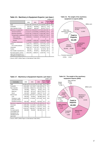|                              |            |            |            |                  | (million yen)     |
|------------------------------|------------|------------|------------|------------------|-------------------|
|                              | 2000       | 2001       | 2002       | 02/01<br>$(\% )$ | Weight<br>$(\% )$ |
| Total                        | 51,654,198 | 48,979,244 | 52,108,956 | 106.4            | 100.0             |
| Foodstuffs                   | 226,764    | 363,993    | 269,117    | 73.9             | 0.5               |
| Raw materials & fuels        | 399,000    | 468,304    | 503,467    | 107.5            | 1.0               |
| Machinery & equipment        | 38,367,511 | 35,525,071 | 37,542,130 | 105.7            | 72.0              |
| General machinery            | 11,101,517 | 10,232,855 | 10,598,833 | 103.6            | 20.3              |
| <b>Electrical machinery</b>  | 13,670,794 | 11,534,475 | 11,924,196 | 103.4            | 22.9              |
| Transportation equipment     | 10,823,169 | 11,129,051 | 12,999,722 | 116.8            | 24.9              |
| Motor vehicles               | 6,930,054  | 7,210,812  | 8,774,645  | 121.7            | 16.8              |
| (excluding parts)            |            |            |            |                  |                   |
| <b>Vessels</b>               | 1,106,695  | 1,026,134  | 1,123,645  | 109.5            | 2.2               |
| <b>Precision instruments</b> | 2,772,031  | 2,628,691  | 2,019,379  | 76.8             | 3.9               |
| Metals                       | 2,849,176  | 2,885,931  | 3,227,445  | 111.8            | 6.2               |
| Iron & steel products        | 1,599,514  | 1,649,038  | 1,939,592  | 117.6            | 3.7               |
| Chemicals                    | 3,808,729  | 3,743,718  | 4,173,674  | 111.5            | 8.0               |
| <b>Textiles</b>              | 920,322    | 921,111    | 917,979    | 99.7             | 1.8               |
| Non-metallic manufactures    | 596,395    | 564,887    | 566,069    | 100.2            | 1.1               |
| Re-export goods, commo-      | 1,901,629  | 2,896,527  | 2,229,726  | 77.0             | 4.3               |
| dities and transactions not  |            |            |            |                  |                   |
| classified according to kind |            |            |            |                  |                   |

**Table 2-5. Machinery & Equipment Exports ( yen base )**

( Source ) METI [ White Paper on International Trade 2003 ]



|  | Table 2-7. Machinery & Equipment Imports (yen base) |               |  |
|--|-----------------------------------------------------|---------------|--|
|  |                                                     | (million yen) |  |

| Commodity                                                                                    | 2000       | 2001       | 2002       | 02/01<br>(%) | Weight<br>(%) |
|----------------------------------------------------------------------------------------------|------------|------------|------------|--------------|---------------|
| Total                                                                                        | 40,938,423 | 42,415,533 | 42,227,506 | 99.6         | 100.0         |
| Foodstuffs                                                                                   | 4,963,098  | 5,247,596  | 5,282,336  | 100.7        | 12.5          |
| Raw materials                                                                                | 2,626,650  | 2,586,073  | 2,521,804  | 97.5         | 6.0           |
| <b>Textile fibers</b>                                                                        | 103,460    | 100,671    | 92,837     | 92.2         | 0.2           |
| Metal ore                                                                                    | 932,296    | 937,114    | 950,377    | 101.4        | 2.3           |
| Wood                                                                                         | 644,491    | 599,980    | 548,077    | 91.3         | 1.3           |
| Mineral fuels                                                                                | 8,316,638  | 8,523,657  | 8,173,925  | 95.9         | 19.4          |
| Coal                                                                                         | 583,263    | 752,692    | 785,982    | 104.4        | 1.9           |
| Petroleum, crude<br>and partly refined                                                       | 4,818,853  | 4,718,360  | 4,573,106  | 96.9         | 10.8          |
| Petroleum products                                                                           | 953,190    | 903,102    | 822,654    | 91.1         | 1.9           |
| Machinery & equipment                                                                        | 12,928,049 | 13,218,798 | 13,434,300 | 101.6        | 31.8          |
| Chemicals                                                                                    | 2,869,498  | 3,113,939  | 3,239,486  | 104.0        | 7.7           |
| Metals                                                                                       | 1,949,094  | 1,814,057  | 1,702,577  | 93.9         | 4.0           |
| <b>Textiles</b>                                                                              | 2,643,347  | 2,891,057  | 2,752,090  | 95.2         | 6.5           |
| Re-import goods,<br>commodities and<br>transactions not<br>classified accord-<br>ing to kind | 690,699    | 786,389    | 881,394    | 112.1        | 2.1           |

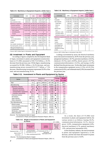**Table 2-9. Machinery & Equipment Exports ( dollar base )** (thousand dollar)

| Commodity                    | 2000        | 2001        | 2002        | 02/01<br>(% ) | Weight<br>$(\%)$ |
|------------------------------|-------------|-------------|-------------|---------------|------------------|
| Total                        | 479,283,559 | 403,230,427 | 417,014,716 | 103.4         | 100.0            |
| Foodstuffs                   | 2,102,780   | 2,991,219   | 2,149,772   | 71.9          | 0.5              |
| Raw materials & fuels        | 3,699,167   | 3,852,093   | 4,022,553   | 104.4         | 1.0              |
| Machinery & equipment        | 356,033,759 | 292,550,544 | 300,448,961 | 102.7         | 72.0             |
| General machinery            | 102,987,608 | 84,268,724  | 84,799,288  | 100.6         | 20.3             |
| <b>Electrical machinery</b>  | 126,826,795 | 95,020,872  | 95,549,948  | 100.6         | 22.9             |
| Transportation equipment     | 100,493,494 | 91,605,420  | 103,935,906 | 113.4         | 24.9             |
| Motor vehicles               | 64,327,014  | 59,333,193  | 70,227,813  | 118.4         | 16.8             |
| (excluding parts)            |             |             |             |               |                  |
| <b>Vessels</b>               | 10,319,286  | 8,460,411   | 9,174,159   | 108.4         | 2.2              |
| <b>Precision instruments</b> | 25,725,863  | 21,655,528  | 16,163,819  | 74.6          | 3.9              |
| Metals                       | 26,427,846  | 23,732,927  | 25,838,720  | 108.9         | 6.2              |
| Iron & steel products        | 14,836,707  | 13,556,524  | 15,537,048  | 114.6         | 3.7              |
| Chemicals                    | 35,335,669  | 30,815,598  | 33,385,143  | 108.3         | 8.0              |
| <b>Textiles</b>              | 8,533,281   | 7,571,129   | 7,355,877   | 97.2          | 1.8              |
| Non-metallic manufactures    | 5,531,931   | 4,650,693   | 4,525,939   | 97.3          | 1.1              |
| Re-export goods, commo-      | 17,637,455  | 23,819,891  | 17,852,619  | 74.9          | 4.3              |
| dities and transactions not  |             |             |             |               |                  |
| classified according to kind |             |             |             |               |                  |

( Source ) METI [ White Paper on International Trade 2003 ]

#### (6) Investment in Plants and Equipment

According to figures compiled by the Development Bank of Japan, investment in plants and equipment (constructionbase) in F.Y.2002 amounted to ¥18,713.8 billion, a 10.3% decrease from the previous year. Of this figure, manufacturing accounted for ¥5,586.1 billion, a 16.2% decrease, and nonmanufacturing sectors invested ¥13,127.7 billion, a 7.5% decrease. Manufacturing investment represented 29.9% of the total, and non-manufacturing 70.1%.

#### **Table 2-10. Machinery & Equipment Imports ( dollar base )**

|                                                                                 |             |             |             |               | (thousand dollar) |
|---------------------------------------------------------------------------------|-------------|-------------|-------------|---------------|-------------------|
| Commodity                                                                       | 2000        | 2001        | 2002        | 02/01<br>(% ) | Weight<br>(%)     |
| Total                                                                           | 379,718,204 | 349,191,516 | 336,984,327 | 96.5          | 100.0             |
| <b>Foodstuffs</b>                                                               | 46.050.781  | 43.131.490  | 42.154.146  | 97.7          | 12.5              |
| Raw materials                                                                   | 24,380,239  | 21,404,414  | 20,124,523  | 94.0          | 6.0               |
| <b>Textile fibers</b>                                                           | 960,884     | 829,290     | 740,859     | 89.3          | 0.2               |
| Metal ore                                                                       | 8,652,722   | 7,716,265   | 7,584,207   | 98.3          | 2.3               |
| Wood                                                                            | 5,983,861   | 4,941,879   | 4,373,769   | 88.5          | 1.3               |
| Mineral fuels                                                                   | 77.088.471  | 70,202,685  | 65,229,631  | 92.9          | 19.4              |
| Coal                                                                            | 5,410,888   | 6,190,145   | 6,272,301   | 101.3         | 1.9               |
| Petroleum, crude<br>and partly refined                                          | 44,660,369  | 38,863,915  | 36,494,342  | 93.9          | 10.8              |
| Petroleum products                                                              | 8,837,551   | 7,451,020   | 6.564.951   | 88.1          | 1.9               |
| Machinery & equipment                                                           | 119,892,725 | 108,864,436 | 107,438,866 | 98.7          | 31.9              |
| Chemicals                                                                       | 26,614,500  | 25,638,203  | 25,851,776  | 100.8         | 7.7               |
| Metals                                                                          | 18,084,912  | 14,951,524  | 13,586,920  | 90.9          | 4.0               |
| <b>Textiles</b>                                                                 | 24,533,601  | 23,803,166  | 22,703,112  | 95.4          | 6.7               |
| Re-import goods,<br>commodities and<br>transactions not<br>classified according | 6.403.425   | 6,468,306   | 7,033,708   | 108.7         | 2.1               |
| to kind                                                                         |             |             |             |               |                   |

( Source ) METI [ White Paper on International Trade 2003 ]

Looking at investment by sector, the electrical machinery sector decreased investment by 20.9% from the previous year, and general machinery (-18.7%), precision machinery (-20.2%), chemical (-19.1%), steel (-20.9%), electric power (-19.7%), communication/information (-14.2%), and leasing (-4.4%) declined from the previous year. On the other hand, investments in the transportation equipment sector (1.5%), oil (32.3%), construction (6.0%), and wholesale/retail (2.8%) increased from the previous year.

| Table 2-11. Investment in Plants and Equipment by Sector<br>(100 million yen, %) |            |            |            |           |        |           |
|----------------------------------------------------------------------------------|------------|------------|------------|-----------|--------|-----------|
|                                                                                  |            |            | Investment |           | Change | Weight    |
| Sector                                                                           | F.Y. 00/99 | F.Y. 01/00 | F.Y. 2001  | F.Y. 2002 | 02/01  | F.Y. 2002 |
| Total                                                                            | 4.1        | 9.3        | 208,512    | 187,138   | 10.3   | 100.0     |
| Manufacturing                                                                    | 12.5       | 9.7        | 66,623     | 55,861    | 16.2   | 29.9      |
| Machinery industry                                                               | 19.1       | 19.5       | 34,099     | 29.882    | 12.4   | 16.0      |
| General machinery                                                                | 0.6        | 3.3        | 4,312      | 3,506     | 18.7   | 1.9       |
| Electrical machinery                                                             | 38.7       | 34.4       | 15,940     | 12,606    | 20.9   | 6.7       |
| <b>Transportation equipment</b>                                                  | 3.7        | 2.0        | 12,512     | 12,705    | 1.5    | 6.8       |
| <b>Precision instruments</b>                                                     | 34.2       | 5.7        | 1,335      | 1.065     | 20.2   | 0.6       |
| Chemical industry                                                                | 10.1       | 8.1        | 10,039     | 8,121     | 19.1   | 4.3       |
| Oil industry                                                                     | 36.8       | 34.7       | 1,200      | 1,588     | 32.3   | 0.9       |
| Steel industry                                                                   | 21.1       | 7.5        | 4,183      | 3.309     | 20.9   | 1.8       |
| Other industries                                                                 | 6.9        | 1.4        | 17,102     | 12,961    | 24.2   | 6.9       |
| Non-Manufacturing                                                                | 0.4        | 9.2        | 141,889    | 131,277   | 7.5    | 70.1      |
| Electric power                                                                   | 9.5        | 9.8        | 32,642     | 26,197    | 19.7   | 14.0      |
| Communication/information                                                        | 2.1        | 10.8       | 30.770     | 26.405    | 14.2   | 14.1      |

Leasing industry 5.4 2.8 35,673 34,091 4.4 18.2 Construction  $5.4$  0.1 1,308 1,387 6.0 0.7 Wholesale, retail trade 6.6 19.6 9,870 10,151 2.8 5.4 Other industries 2.3 15.3 31,626 33,046 4.5 17.7

(Source) The Development Bank of Japan

[ Investment in Plants and Equipment Research Report, 2003. 8 ]





<sup>(</sup>Source) The Development Bank of Japan

[ Investment in Plants and Equipment Research Report, 2003. 8 ]

As a result, the share of F.Y.2002 total investment in plants and equipment held by the various sectors is as follows: leasing 18.2%, communication/information 14.1%, electric power 14.0%, transportation equipment 6.8%, electrical machinery 6.7%, general machinery 1.9%, and precision instruments 0.6%.

In the machinery industry, the total investment in plants and equipment registered a 12.4% decrease, and the total share decreased 0.4 points from the previous year to 16.0%.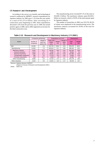### (7) Research and Development

According to the survey on scientific and technological research conducted by MPHPT, research expenditures by Japanese industry for 2002 grew 1.1% from the year earlier to a total of ¥11,573.4 billion. After increasing for 4 consecutive years beginning in 1995, these expenditures decreased 1.6% from the previous year in 1999, but turned positive again in 2000, and in 2002 registered an increase for the third consecutive year.

The manufacturing sector invested 87.1% of the total or ¥10,081.3 billion. The machinery industry spent ¥6,939.1 billion on research, which is 59.9% of the total amount spent by Japanese industry.

The number of researchers in 2002 was 555,576, 89.3% of whom were employed in the manufacturing sector. The machinery industry accounted for 59.8% of the total for Japanese industry.

**Table 2-13. Research and Development in Machinery Industry ( F.Y.2002 )**

|                                                                                                                                                    | Companies performing                           |                                           |                                                        | Expenditure on R & D                       |                                              | <b>Researchers</b>                                          |                                            |
|----------------------------------------------------------------------------------------------------------------------------------------------------|------------------------------------------------|-------------------------------------------|--------------------------------------------------------|--------------------------------------------|----------------------------------------------|-------------------------------------------------------------|--------------------------------------------|
| Sector                                                                                                                                             | Number of<br>companies                         | Weight in<br>total com-<br>panies (%)     | <b>Total (100</b><br>million<br>yen)                   | Weight<br>$(\% )$                          | Weight in<br>sales<br>(%)                    | <b>Total</b><br>$(\% )$                                     | Weight<br>$(\% )$                          |
| Total                                                                                                                                              | 14.226                                         | 2.6                                       | 115.734                                                | 100.0                                      | 3.04                                         | 555,576                                                     | 100.0                                      |
| Manufacturing                                                                                                                                      | 11.004                                         | 7.0                                       | 100.813                                                | 87.1                                       | 3.99                                         | 496.343                                                     | 89.3                                       |
| Machinery industry<br>General machinery<br>Electrical machinery<br>Transportation equipment<br><b>Precision instruments</b><br>Other manufacturing | 4.404<br>1.914<br>1,656<br>356<br>478<br>6.600 | 13.1<br>8.7<br>11.2<br>5.3<br>13.7<br>6.0 | 69.391<br>9.392<br>38.091<br>17.379<br>4.529<br>31.422 | 59.9<br>8.1<br>32.9<br>15.0<br>3.9<br>27.2 | 5.44<br>4.43<br>6.29<br>4.35<br>7.77<br>2.51 | 332.165<br>49.961<br>187.965<br>70.852<br>23,387<br>164.178 | 59.8<br>9.0<br>33.8<br>12.8<br>4.2<br>29.5 |
| Other industries                                                                                                                                   | 3,222                                          | 0.8                                       | 14.921                                                 | 12.9                                       | 1.17                                         | 59,233                                                      | 10.7                                       |

(Source) Statistics Bureau of MPHPT

[ Report on Survey of Research and Development 2003 ] (Note) 2003.3.31.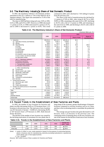### 2-2. The Machinery Industry s Share of Net Domestic Product

In 2001, the machinery industry's net domestic product amounted to ¥32,357.1 billion or 7.6% of the NDP for all of Japanese industry. This figure also amounted to 37.0% of the total for manufacturing.

The share in NDP had been rising each year, 9.0% in 1995, 9.2% in 1996, and 9.3% in 1997. However, in 1998 it decreased 1.1 points to 8.2%, in 1999 it decreased 0.1 points to 8.1%, and in 2000 it decreased 0.1 points to 8.0%. This trend continued in 2001 and it declined to 7.6% falling 0.4 points from the previous year .

The share in the total of manufacturing also declined by 1.2 points to 37.0% in 2001, after rising to 38.7% in 1995, 39.8% in 1996, remaining at the same level in 1997, declining to 38.3% with a fall of 1.5 points in 1998, and remaining at the same level in 1999, and declining to 38.2% with a fall of 0.1 points in 2000.

### **Table 2-14. The Machinery Industry's Share of Net Domestic Product**

|                                                                                                                                                                                                                                                                                                                                                                                                               |                                                                                                                                                                |                                                                                                                                                                |                                                                                                                                                                |                                                                                                   | (Nominal, billion yen, %)                               |
|---------------------------------------------------------------------------------------------------------------------------------------------------------------------------------------------------------------------------------------------------------------------------------------------------------------------------------------------------------------------------------------------------------------|----------------------------------------------------------------------------------------------------------------------------------------------------------------|----------------------------------------------------------------------------------------------------------------------------------------------------------------|----------------------------------------------------------------------------------------------------------------------------------------------------------------|---------------------------------------------------------------------------------------------------|---------------------------------------------------------|
|                                                                                                                                                                                                                                                                                                                                                                                                               |                                                                                                                                                                |                                                                                                                                                                |                                                                                                                                                                | 2001                                                                                              |                                                         |
|                                                                                                                                                                                                                                                                                                                                                                                                               | 1999                                                                                                                                                           | 2000                                                                                                                                                           |                                                                                                                                                                | Share of total                                                                                    | Share of<br>manufacturing                               |
| 1. Industries<br>(1)<br>Agriculture forestry and fisheries<br>(2)<br>Mining<br>Manufacturing<br>(3)<br>Food<br><b>Textiles</b><br>Pulp & paper<br>Chemicals<br>Petroleum<br>Ceramics, stone & clay products<br>Iron & steel, non-ferrous metals                                                                                                                                                               | 393,551.6<br>5,619.6<br>469.2<br>92,282.3<br>11,432.0<br>1,016.5<br>2,421.4<br>7,620.0<br>5,686.6<br>3,092.6<br>5,137.1                                        | 393,112.2<br>5,091.5<br>441.1<br>91,257.7<br>12,151.1<br>958.4<br>2,549.5<br>6,817.3<br>5,664.1<br>3,154.9<br>5,485.0                                          | 383,951.8<br>4,836.5<br>462.9<br>87,481.3<br>11,051.4<br>885.0<br>2,451.2<br>7,100.7<br>6,590.3<br>2,980.9<br>5,100.6                                          | 90.3<br>1.1<br>0.1<br>20.6<br>2.6<br>0.2<br>0.6<br>1.7<br>1.5<br>0.7<br>1.2                       | 100.0<br>12.6<br>1.0<br>2.8<br>8.1<br>7.5<br>3.4<br>5.8 |
| <b>Fabricated metals</b><br>$\mathbf{r}$<br>Machinery industry ]<br>General machinery<br><b>Electrical machinery</b><br>Transportation equipment<br><b>Precision instruments</b>                                                                                                                                                                                                                              | 5,035.8<br>35,339.8<br>8,432.0<br>15,685.0<br>9,717.5<br>1,505.3                                                                                               | 4,889.8<br>34,896.2<br>8,452.6<br>16,024.2<br>8,922.9<br>1,496.5                                                                                               | 4,697.1<br>32,357.1<br>8,225.9<br>12,983.3<br>9,657.7<br>1,490.2                                                                                               | 1.1<br>7.6<br>1.9<br>3.1<br>2.3<br>0.4                                                            | 5.4<br>37.0<br>9.4<br>14.8<br>11.0<br>1.7               |
| Other manufacturing<br>Construction<br>(4)<br>(5)<br>Electric power, gas, water<br>(6)<br>Wholesale, retail trade<br>Finance & insurance<br>(7)<br>(8)<br>Real estate<br>(9)<br>Transport & communications<br>(10) Services<br>Government services<br>2.<br>Electricity, gas, water<br>(1)<br>(2) Services<br>Public administration<br>(3)<br>3. Private non-profit services to households<br>Services<br>(1) | 15,500.6<br>33,770.3<br>9,162.0<br>67,771.0<br>29,485.2<br>45,377.1<br>26,240.7<br>83,374.1<br>34,487.2<br>974.9<br>12,073.7<br>21,438.7<br>9,179.5<br>9,179.5 | 14,691.4<br>33,356.3<br>9,075.4<br>66,578.2<br>29,018.2<br>46,056.8<br>27,285.1<br>84,952.0<br>34,413.4<br>944.3<br>11,800.3<br>21,668.9<br>8,475.9<br>8,475.9 | 14,266.8<br>32,088.2<br>9,141.8<br>64,337.1<br>30,199.5<br>45,907.6<br>26,645.3<br>82,851.7<br>32,757.2<br>885.4<br>11,268.0<br>20,603.8<br>8,509.2<br>8,509.2 | 3.4<br>7.5<br>2.1<br>15.1<br>7.1<br>10.8<br>6.3<br>19.5<br>7.7<br>0.2<br>2.6<br>4.8<br>2.0<br>2.0 | 16.3                                                    |
| Total                                                                                                                                                                                                                                                                                                                                                                                                         | 437,218.3                                                                                                                                                      | 436,001.6                                                                                                                                                      | 425,218.2                                                                                                                                                      | 100.0                                                                                             | $\overline{\phantom{m}}$                                |
| Import tax<br>Other<br>Imputed interest                                                                                                                                                                                                                                                                                                                                                                       | 2,940.9<br>$-3,328.6$<br>$-24,806.6$                                                                                                                           | 3,165.0<br>$-3,511.5$<br>$-23,738.2$                                                                                                                           | 3,242.9<br>$-3,430.3$<br>$-25,777.8$                                                                                                                           |                                                                                                   |                                                         |
| Grand total                                                                                                                                                                                                                                                                                                                                                                                                   | 412,024.0                                                                                                                                                      | 411,916.8                                                                                                                                                      | 399,253.0                                                                                                                                                      | $\overline{\phantom{0}}$                                                                          | $\overline{\phantom{m}}$                                |

( Source ) Cabinet Office

### 2-3. Recent Trends in the Establishment of New Factories and Plants

In 2002, the number of new locations for factories and plants was 844, decreasing 24.8% or 279 locations from 1,123 locations in the previous year. The total area of new locations was 872 hectares (1 hectare  $= 10,000$  m<sup>2</sup>), decreasing 36.8% or 507 hectares from 1,379 hectares in 2001. Both showed drastic decreases.

The decline of the number of new location was caused by the declining motivation of investment for new plants due to long slump of the economy, greater disadvantage of domestic locations compared to overseas locations such as in China, and due to the accelerating trend to consolidate the production bases.

The average area per location also great decreased to 1.03 hectares, from 1.23 hectares in the previous year. The continuing trend of slimming down of the new locations was one of the reasons for the decline of total area of new locations.

### **Table 2-15. Trends in the Establishment of New Factories and Plants**

|           | 1999  | 2000  | 2001  | 2002 | Change (%)<br>$2001 - 2002$ |
|-----------|-------|-------|-------|------|-----------------------------|
| Number    | 974   | 1.126 | 1.123 | 844  | 24.8                        |
| Area (ha) | 1,125 | 1.473 | 1,379 | 872  | 36.8                        |

(Note) 1. Lands of 1,000m2 or over, newly acquired or leased, for the purpose of constructing factories, plants or business sites for manufacturing, electricity (excluding hydroelectric or geothermal power plants), gas or heat supply business.

2. 1 ha =  $10,000$ m<sup>2</sup>

(Source) METI [2002 Survey of New Locations for Factories and Plants]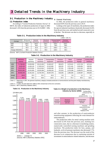### 3-1. Production in the Machinery Industry

#### (1) Production Index

According to "Current Production Statistics Survey" of METI, the index of industrial production of Japan in 2002 decreased 1.4% from the previous year to  $91.9$  ( $2000 = 100$ ).

**①** General Machinery

In 2002, the production index in general machinery decreased 8.0% from the previous year to 81.9.

Looking at the types of machinery, the production index for special industrial machinery drastically decreased 24.4% from the previous year, and marked second consecutive year of decline. The decrease was due to a decrease, especially in

**Table 3-1. Production Index In the Machinery Industry**

|                  |                             |                      |                         |                             | $(2000 = 100, %)$        |
|------------------|-----------------------------|----------------------|-------------------------|-----------------------------|--------------------------|
| Average          | Mining and<br>manufacturing | General<br>machinery | Electrical<br>machinery | Transportation<br>equipment | Precision<br>instruments |
| 2000<br>2001     | 100.0<br>93.2               | 100.0<br>89.0        | 100.0<br>91.1           | 100.0<br>99.9               | 100.0<br>89.6            |
| 2002             | 91.9                        | 81.9                 | 87.3                    | 106.4                       | 80.1                     |
| Change 2002/2001 | 98.6                        | 92.0                 | 95.8                    | 106.5                       | 89.4                     |

(Source) METI [ Curreent Production Statistics Survey ]

|        |                              |                      |                         |                             |                          |                          |                       | $\frac{1}{1}$               |
|--------|------------------------------|----------------------|-------------------------|-----------------------------|--------------------------|--------------------------|-----------------------|-----------------------------|
|        | <b>Machinery</b><br>industry | General<br>machinery | Electrical<br>machinery | Transportation<br>equipment | Precision<br>instruments | <b>Metal</b><br>products | Castings/<br>forgings | Hunting rifles/<br>ordnance |
| 1998   | 71,758,552                   | 12,826,656           | 28,121,603              | 23,465,257                  | 955,875                  | 3,579,421                | 2,372,728             | 437,013                     |
| 1999   | 8,445,433                    | 11,849,120           | 27,925,519              | 22,523,865                  | 836,025                  | 2,571,461                | 2,300,850             | 438,594                     |
| 2000   | 73,075,401                   | 12,870,634           | 30,413,944              | 23,809,390                  | 797,351                  | 2,356,499                | 2,421,320             | 406,262                     |
| 2001   | 66,815,381                   | 11,241,693           | 25,534,386              | 24,456,193                  | 707,523                  | 2,275,298                | 2,195,872             | 404,416                     |
| 2002   | 66,592,245                   | 10,181,523           | 22,704,765              | 28,497,379                  | 619,283                  | 1,984,595                | 2,159,097             | 445,603                     |
| Weight | 100.0                        | 15.3                 | 34.1                    | 42.8                        | 0.9                      | 3.0                      | 3.2                   | 0.7                         |
| 02/01  | 99.7                         | 90.6                 | 88.9                    | 116.5                       | 87.5                     | 87.2                     | 98.3                  | 110.2                       |

**Table 3-2. Production in the Machinery Industry** (million yen, %)

( Note 1 ) Beginning in 1997, the general machinery category included production of semiconductor and flat panel display manufacturing equipment.

( Note 2 ) In 2002, the past data from 1998 to 2001 revised due to the error correction.

( Source ) METI [ Machinery Statistics 2002 ]

### **Table 3-3. Production in the Machinery Industry**









and after autumn, in the production of semiconductor manufacturing equipment reflecting the weak demand for semiconductors.

The production index for metal cutting machine tools decreased 22.4% from the previous year, marking two consecutive years, due to a decrease in machining centers, numerically controlled turning machines and grinding machines. The production index for fans, pumps, and hydraulic, air & oil pressure machinery also decreased 7.7% from the previous year. The decrease was the result of the decrease in air compressors due to continuing restraint of investment in semiconductor related industries, and decrease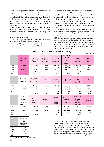of pump and oil hydraulic machineries. The production index for parts of industrial machinery fell 4.0% and marked the second year of consecutive year of decline, due to the decrease of production in fixed ratio speed changers, general valves & cocks and faucets. The production index for conveying machinery decreased 8.4% from the previous year due to the decline in automatic high-rise warehouses, cranes, conveyors and others.

On the other hand, the production textile machinery increased 2.4% from the previous year due to a sharp increase in looms, as the export of looms for china was steady good condition for the year.

#### **Electrical Machinery**

In 2002, the production index for electrical machinery decreased 4.2% from the previous year to 87.3.

Looking at the type of machinery, the production index for communication equipment showed a 21.7% decrease from the previous year, the second consecutive year of decline , due to the decrease in PHS, cellular telephones, electric switching systems, digital transmission equipments and fixed communication equipments, in spite of the increase in basic exchange for mobile customer premises equipments.

Electric computers decreased 11.9% from the previous year, due to the dull demands for both individual and company use, and due to the transfer of production to overseas by leading makers.

The production index for household electrical machinery decreased 13.1% from the previous year, marking the sixth year of decline, due to the decrease in all items except ventilating fans. The index for integrated circuits showed a 4.0% decrease from the previous year, the second consecutive year of decline, due to the declined demands for mobile phones, PCs including related equipments and game machines. The index for electrical measuring instruments showed a 29.3% decrease, marking second consecutive year of decline, due to the decline in all items.

Pulp & paper-

( million yen, %)

|              | General<br>machinery                                                 | Boilers,<br>engines and<br>turbines             | Mining and<br>construction<br>equipment | Chemical<br>machinery and<br>strage tanks            | making<br>machinery,<br>plastic<br>processing<br>machinery | Printing &<br>related<br>machines                                        | Pumps,<br>compressors<br>& fans |
|--------------|----------------------------------------------------------------------|-------------------------------------------------|-----------------------------------------|------------------------------------------------------|------------------------------------------------------------|--------------------------------------------------------------------------|---------------------------------|
| 2000<br>2001 | 12,870,634<br>11,241,693                                             | 1,431,236<br>1,193,447                          | 988,748<br>846,945                      | 362,657<br>272,378                                   | 259,663<br>194,747                                         | 312,329<br>259,302                                                       | 442,362<br>411,277              |
| 2002         | 10,181,523                                                           | 1,284,934                                       | 799,012                                 | 231,822                                              | 195,520                                                    | 247,862                                                                  | 368,178                         |
| Share        | 100.0                                                                | 12.6                                            | 7.8                                     | 2.3                                                  | 1.9                                                        | 2.4                                                                      | $3.6\,$                         |
| 02/01        | 90.6                                                                 | 107.7                                           | 94.3                                    | 85.1                                                 | 100.4                                                      | 95.6                                                                     | 89.5                            |
|              | Oil-hydraulic<br>and pneumatic<br>equipment                          | Conveyance<br>machines and<br>industrial robots | Power<br>transmissions                  | Agricultural<br>machinery                            | <b>Metal cutting</b><br>machine tools                      | Metal forming<br>machinery &<br>foundry<br>equipment                     | <b>Textile</b><br>machinery     |
| 2000<br>2001 | 507.012<br>419,774                                                   | 1,002,234<br>863,608                            | 330.584<br>308,577                      | 488.817<br>424,038                                   | 814,636<br>776,453                                         | 286,898<br>254,960                                                       | 167,774<br>165,483              |
| 2002         | 384,659                                                              | 814,556                                         | 289,110                                 | 423,744                                              | 585,098                                                    | 175,369                                                                  | 178,641                         |
| Share        | 3.8                                                                  | 8.0                                             | 2.8                                     | 4.2                                                  | 5.8                                                        | 1.7                                                                      | 1.8                             |
| 02/01        | 91.6                                                                 | 94.3                                            | 93.7                                    | 99.9                                                 | 75.4                                                       | 68.8                                                                     | 108.0                           |
|              | Food<br>products<br>machinery,<br>wrapping &<br>packing<br>machinery | Wood<br>working<br>machinery                    | Office<br>machinery                     | Sewing<br>machines &<br>hand<br>knitting<br>machines | Refrigerating<br>machines,<br>appliances and<br>equipment  | Vending and<br>service<br>machines, &<br>business<br>washing<br>machines | <b>Bearings</b>                 |
| 2000<br>2001 | 246,416<br>280,757                                                   | 46.656<br>32,055                                | 642,588<br>493,162                      | 110.516<br>86,665                                    | 2.087.859<br>2,006,814                                     | 245.172<br>216,447                                                       | 595,282<br>541,581              |
| 2002         | 239,727                                                              | 24,691                                          | 425,369                                 | 74,392                                               | 1,871,912                                                  | 179,099                                                                  | 539,182                         |

Share | 2.4 | 0.2 | 4.2 | 0.7 | 18.4 | 1.8 | 5.3 02/01 | 85.4 | 77.0 | 86.3 | 85.8 | 93.3 | 82.7 | 99.6

#### **Table 3-5. Production in General Machinery**

|              | Semiconductor<br>and flat panel<br>display<br>manufacturing<br>system |
|--------------|-----------------------------------------------------------------------|
| 2000<br>2001 | 1.501.195<br>1,501,195                                                |
|              |                                                                       |
| 2002         | 848,646                                                               |
| Share        | 8.3                                                                   |
| 02/01        |                                                                       |

( Source ) METI [ Machinery Statistics 2002]

On the other hand, the production index for electronic parts turned to increase from the fall in the previous year, showing a 13.9% increase, as the production of active matrix LCD increased, due to increased demand for digital cameras and digital video-cameras for domestic market and increased export for mobile phones. The index for batteries increased 19.1% from the previous year due to the steady export of Lithium ion storage batteries for PCs and mobile phones.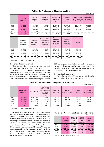|       |                         |                                     |                                      |                                             |                                    |                                                       | $\cdots$                                  |
|-------|-------------------------|-------------------------------------|--------------------------------------|---------------------------------------------|------------------------------------|-------------------------------------------------------|-------------------------------------------|
|       | Electrical<br>machinery | Rotating<br>electrical<br>machinery | Electrical<br>stationary<br>machines | Switchgears and<br>controlling<br>equipment | Consumer<br>electric<br>appliances | Electric lamps,<br>wiring equipment<br>and luminaries | Communication<br>and related<br>equipment |
| 2000  | 30,413,944              | 974.103                             | 577,998                              | 1,467,052                                   | 1,428,773                          | 1,070,957                                             | 4,155,626                                 |
| 2001  | 25,534,386              | 860,619                             | 566,211                              | 1,299,002                                   | 1,384,558                          | 1,004,304                                             | 3,955,300                                 |
| 2002  | 22,704,765              | 825,019                             | 485,296                              | 1,199,929                                   | 1,205,513                          | 974,222                                               | 2,967,937                                 |
| Share | 100.0                   | 3.6                                 | 2.1                                  | 5.3                                         | 5.3                                | 4.3                                                   | 13.1                                      |
| 02/01 | 88.9                    | 95.9                                | 85.7                                 | 92.4                                        | 87.1                               | 97.0                                                  | 75.0                                      |

**Table 3-6. Production in Electrical Machinery**

|              | Consumer<br>electronic<br>appliances | Parts for<br>electronic<br>equipment | Electronic tubes.<br>semiconductor<br>devices and<br>integrated<br>circuits | Electronic<br>applications<br>equipment<br>(Electronic<br>computer<br>$etc.$ ) | Electrical<br>measuring &<br>controlling<br>instruments | <b>Batteries</b>   |
|--------------|--------------------------------------|--------------------------------------|-----------------------------------------------------------------------------|--------------------------------------------------------------------------------|---------------------------------------------------------|--------------------|
| 2000<br>2001 | 2,191,166<br>1,876,418               | 3,635,390<br>2,754,282               | 7,512,104<br>5,680,001                                                      | 5,778,130<br>4,871,681                                                         | 773.436<br>572.044                                      | 849.209<br>709,966 |
| 2002         | 1,978,080                            | 2,677,144                            | 5,630,132                                                                   | 3,673,675                                                                      | 410,179                                                 | 677,639            |
| Share        | 8.7                                  | 11.8                                 | 24.8                                                                        | 16.2                                                                           | 1.8                                                     | 3.0                |
| 02/01        | 105.4                                | 97.2                                 | 99.1                                                                        | 75.4                                                                           | 71.7                                                    | 95.4               |

( Source ) METI [ Machinery Statistics 2002 ]

#### Transportation Equipment

The production index for transportation equipment in 2002 increased 6.5% from the previous year to 106.4.

Looking at the type of machinery, the index increased 6.3% for passenger cars after two consecutive years of increase, due to the increase in domestic market, in addition to the increase of exports mainly to North America, Asia and Europe. On the other hand, the index for motor vehicle parts showed a 8.3% increase, an increase for four consecutive years, due to increased production for both domestic use and exports. The index for trucks increased 4.1% from the previous year, due to the increase of production of large trucks.

 $(million$  yon,  $\frac{0}{1}$ 

**④** Precision Instruments

The production index of this sector in 2002 showed a 10.6% drop from the previous year to 80.1.

|       |                             |                |                                                                                                |                          |                                       |                               | (million yen, %)              |
|-------|-----------------------------|----------------|------------------------------------------------------------------------------------------------|--------------------------|---------------------------------------|-------------------------------|-------------------------------|
|       | Transportation<br>equipment | Motor vehicles | Parts for motor<br>vehicles and<br>electric equipment<br>for internal<br>combustion<br>engines | Motorcycles<br>and parts | <b>Bicycles</b><br>(incl. wheelchair) | <b>Industrial</b><br>vehicles | Aircraft<br>(incl. repairing) |
| 2000  | 23,809,390                  | 16,327,414     | 5,323,244                                                                                      | 765.910                  | 123,093                               | 319,705                       | 950.024                       |
| 2001  | 24,456,193                  | 17, 143, 179   | 5,177,289                                                                                      | 733,724                  | 105,951                               | 304,953                       | 991,097                       |
| 2002  | 28,497,379                  | 18,481,808     | 7,720,264                                                                                      | 943,483                  | 88,329                                | 297,357                       | 966,138                       |
| Share | 100.0                       | 64.9           | 27.1                                                                                           | 3.3                      | 0.3                                   | 1.0                           | 3.4                           |
| 02/01 | 116.5                       | 107.8          | 149.1                                                                                          | 128.6                    | 83.4                                  | 97.5                          | 97.5                          |

### **Table 3-7. Production in Transportation Equipment**

( Source ) METI [ Machinery Statistics 2002 ]

Looking at the type of machinery, the index for measuring machines and instruments decreased 7.1 % due to the drop in industrial measures, analytical instruments, precision measuring machines and instruments, in spite of increase in measuring instruments as result of new models in the market. Optical apparatus and parts dropped 14.9%, the fourth consecutive year of decline, due to the decline of 24mm and 35mm cameras and interchangeable lenses. Watches and clocks decreased for the fourth consecutive year by 5.3%, due to the decline in movements and battery driven type watches and clocks (completed), in spite of the increase in battery driven type watches (movements).

#### **Table 3-8. Production in Precision Instruments**

| (million yen, %) |                          |                                              |                                             |                     |  |  |  |
|------------------|--------------------------|----------------------------------------------|---------------------------------------------|---------------------|--|--|--|
|                  | Precision<br>instruments | Measuring<br>equipment<br>and<br>instruments | Optical<br>appliances<br>and<br>instruments | Watches &<br>clocks |  |  |  |
| 2000<br>2001     | 797,351<br>707,523       | 413.668<br>403,460                           | 227,388<br>173,875                          | 156,295<br>130,189  |  |  |  |
| 2002             | 619,283                  | 359,414                                      | 146,359                                     | 113.510             |  |  |  |
| Share            | 100.0                    | 58.1                                         | 23.6                                        | 18.3                |  |  |  |
| 02/01            | 87.5                     | 89.1                                         | 84.2                                        | 87.2                |  |  |  |
|                  |                          |                                              |                                             |                     |  |  |  |

( Source ) METI [ Machinery Statistics 2002 ]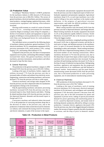### (2) Production Value

According to "Machinery Statistics" of METI, production for the machinery industry in 2002 showed a 0.3% decrease from the previous year to ¥66,592.2 billion. The sectors of general machinery, electrical machinery, precision instruments, metal products, castings/forgings registered decreases, while transportation equipment and hunting rifles/ordnance increased.

Slowing world economy as a result of a series of terrorist attacks in U.S.A. , worsening environment for investment caused by illegal accounting in some of big US companies, a decline of investment in plants and equipment in Japan and progress of shifting to oversea production for cost competition with China were background factors for week production activities in Japan.

The individual sectors accounted for the following shares of machinery industry production: general machinery 15.3%, electrical machinery 34.1%, transportation equipment 42.8%, precision instruments 0.9%, metal products 3.0%, casting/ forging 3.2%, and hunting rifles/ordnance 0.7%.

Compared to the previous year, the share of transportation equipment rose 6.6 points, and hunting rifles/ordnance slightly increased their shares. But general machinery, electrical machinery, precision instruments, metal products and others decreased or kept flat their shares.

#### General Machinery

The production in the general machinery category in 2002 decreased 9.4% from the previous year to ¥10,181.5 billion.

Looking at the types of machinery, boilers, engines and turbines increased 7.7% from the previous year due to increased orders of boilers and turbines from electricity sector. Engineering, construction and mining machinery, and tractors declined 5.7% from the previous year due to week export.

Chemical machinery and storage tanks dropped 16.9% from the previous year due to depressed orders for machineries and equipment relating to the environment.

Pulp & papermaking machinery and plastic processing machinery increased 0.4% from the previous year due to increased export to Asia, North America and others. Printing & related machines dropt 4.4% from the previous year due to the depressed domestic demands and decreased export to Europe and U.S.A.

Conveyance machines and industrial robots decreased 5.7% as the production of conveying machines dropt due to the decrease of orders in the previous year, and as the production of industrial robots turned downward for domestic car industry and continued decreasing trend for electronics and electric industries, in spite of the increase in the export.

Oil-hydraulic and pneumatic equipment decreased 8.4% from the previous year due to depressed export of both of oilhydraulic equipment and pneumatic equipment. Agricultural machinery dropt 0.1%, as each type machinery was in the trend of sifting to low price machines in the market under deflation, in the progress of agricultural structure improvement, and under the difficult problems of sharp increase of vegetable import and BSE.

Metal cutting machine tools decreased 24.6% from the previous year due to depressed domestic and foreign demand. Metal forming machinery & foundry equipment decreased 31.2% as the production rapidly shifted to overseas. Textile Machinery increased 8.0% due to the increase of export to China the biggest market.

Food products machinery, wrapping & packing machinery decreased 14.6% due to depressed economy and decline in stock price in Japan, and deflation pressure to the machinery price, in spite of increased demands for the machineries responding to safety and sanitation. Wood working machinery dropt 23.0% due to depressed housing industry as seen in the decreased number of new housing constructions. Office machinery decreased 13.7% from the previous year, due to the sharp drop of export from Japan as direct export of coping machines from oversea production sites increased. Sewing machines & hand knitting machines decreased 14.2% due to the drop of export of industrial sewing machines. Refrigerating machines, appliances and equipment due the progressed oversea production of air conditioners and dull demand in domestic market. Semiconductor and flat panel display manufacturing system decreased 28.9% from the previous year, due to decreased production of wafer processing equipment, one of semiconductor manufacturing systems.

#### **②** Electrical Machinery

2001 production of electrical machinery decreased 11.1% from the previous year to ¥22,704.7 billion.

Looking at the types of machinery, each of rotating electrical machinery (4.1% decrease), electrical stationary machines (4.3% decrease), and switchgears and controlling equipment (7.6% decrease) showed a decrease from the previous year, due to the dull investment for plants and equipment in private sector, ending of special procurement demand for power generating and transforming plants in U.S.A. caused by depressed economy, and steady trend of declining domestic production affected by sifting to oversea production. Consumer electric appliances decreased 2.9% from the previous year, due to the sluggish demand in domestic market, the increase of import caused by the shift of production to overseas, and the drop of price in domestic market.

**Table 3-9. Production in Metal Products**

|       |                          |                            |         |                             |                           | million yen, %)                                            |
|-------|--------------------------|----------------------------|---------|-----------------------------|---------------------------|------------------------------------------------------------|
|       | <b>Metal</b><br>products | <b>Steel</b><br>structures | Springs | Valves and<br>pipe fittings | Air tools &<br>hand tools | Metal gas & oil<br>equipment,<br>solor heated<br>equipment |
| 2000  | 2,356,499                | 966.700                    | 282.611 | 423.669                     | 133.169                   | 550.350                                                    |
| 2001  | 2,275,298                | 924,504                    | 252,417 | 416,827                     | 128,464                   | 553,086                                                    |
| 2002  | 1,984,595                | 748.047                    | 257.152 | 373,931                     | 118.503                   | 486.962                                                    |
| Share | 100.0                    | 37.7                       | 13.0    | 18.8                        | 6.0                       | 24.5                                                       |
| 02/01 | 87.2                     | 80.9                       | 101.9   | 89.7                        | 92.2                      | 88.0                                                       |

( Source ) METI [ Machinery Statistics 2002 ]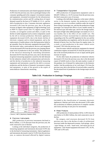Production of communication and related equipment declined 25.0% from the previous year, due to prolonged slump in the consumer spending and in the company's investment in plants and equipment, restrained investment for the infrastructure by communication carriers and SP, cooling down of export demand caused by the burst of IT bubble in U.S.A., and the shift of production to Asia. Consumer electronic appliances increased 5.4% from the previous year, due to the great increase of digital video equipment of high technology such as PDP TV, liquid crystal color TV, digital camera, DVD recorder, car navigation system and others, in spite of the decline of audio equipment such as stereo components caused by the sift to overseas production. Electronic appliances equipment decreased 24.6%, due to the drastic decline of electronic computer and its related equipment, and as the replacement of mobile phone to the third generation failed to go smoothly. Parts for electronic equipment decreased 2.8%, and electronic tubes, semiconductor devices and integrated circuits decreased 0.9% from the previous year, keeping almost same level of production in the year earlier. The production of the electrical measuring & controlling instruments decreased 28.3% from the previous year, due to the decrease of general measuring equipment caused by the dull demand for the industries related with communication and network, and the decline of production in the industrial measuring equipment and instruments caused by the shift to overseas production and the decline of domestic investment in plants and equipment, in spite of the growth in the export of semiconductor characteristic measuring.

#### **③** Transportation Equipment

2002 production of transportation equipment came to ¥28,497.3 billion or a 16.5% increase from the previous year, the third consecutive year of increase.

Looking at the individual categories, in the motor vehicles sector, in the domestic market, the production of small passenger cars was in excellent condition under the trend of down sizing of passenger cars, and also the production of large passenger cars enjoyed the effects of new models mainly in the minivan type and sedan type, and for the foreign market, the export of high-value added passenger cars mainly to U.S.A. was healthy due to the effect of new model cars. The production of buses increased due to substitute demand responding to the Nox and PM regulation for the cars and the Tokyo metropolitan area regulation, and by the newly created demand of barrier free, low-floor buses for regular routes. As a result, as total production in the motor vehicle sector increased 7.8% from the previous year.

Parts for motor vehicles and electric equipment for internal combustion engines increased 49.1% from the previous year, due to the increased production of cars in Japan and the great increase of export.

On the other hand, the production of industrial vehicles decreased 2.5% from the previous year, due to the decreased export of forklift trucks to Asia ,the main market, in spite of the graduate rise of demand for replacement in the domestic market. And the production of air craft dropt 2.5% from the previous year, due to the decline of received orders caused by the decreased level of production in the foreign major aircraft makers.

|              |                        |                      |                    |                         |                          |                              | million yen, %)                           |
|--------------|------------------------|----------------------|--------------------|-------------------------|--------------------------|------------------------------|-------------------------------------------|
|              | Castings /<br>forgings | Powder<br>metallurgy | Forged<br>products | <b>Iron</b><br>castings | <b>Malleable</b><br>iron | <b>Precision</b><br>castings | Copper &<br>cooper-base<br>alloy castings |
| 2000<br>2001 | 2,421,320<br>2,195,872 | 303,769<br>244.243   | 491,443<br>462,315 | 718,030<br>636,217      | 37,654<br>36,312         | 47,093<br>49,305             | 70.078<br>69,471                          |
| 2002         | 2,159,097              | 228,780              | 429,640            | 617,617                 | 30,031                   | 44,930                       | 67,342                                    |
| Share        | 100.0                  | 10.6                 | 19.9               | 28.6                    | 1.4                      | 2.1                          | 3.1                                       |
| 02/01        | 98.3                   | 93.7                 | 92.9               | 97.1                    | 82.7                     | 91.1                         | 96.9                                      |

### **Table 3-10. Production in Castings / Forgings**

|       | Light alloy<br>castings | Die-casting |
|-------|-------------------------|-------------|
| 2000  | 287,797                 | 465.456     |
| 2001  | 264,325                 | 433.684     |
| 2002  | 275,823                 | 464,934     |
| Share | 12.8                    | 21.5        |
| 02/01 | 104.3                   | 107.2       |

( Source ) METI [ Machinery Statistics 2002]

#### **④** Precision Instruments

2002 production of precision instruments declined to ¥619.2 billion, a 12.5% decrease from the previous year, the sixth consecutive year of decline.

Looking at the individual categories, the production of measuring equipment and instruments decreased 10.9% due to the declined of measuring instruments. Optical appliances and instruments decreased a total of 15.8% from the previous year, as cameras decreased affected by digital cameras

(included in the classification of consumer electronic appliances). Watches and clocks also decreased 12.8% under the acceleration of offshore production of complete watches and clocks and drop of unit price for movements.

#### **⑤** Metal Products

2002 production of metal products fell by 12.8% from the year before to ¥1,984.5 billion, the sixth consecutive year of decline.

By category, steel structures decreased 19.1% from previous year, due to the decline of order of architectural structures under the depressed economy. And springs, valves / pipe fittings, air tools / hand tools, and metal gas & oil equipment / solar heated equipment decreased 1.9%, 10.3%, 7.8% and 12.0% each.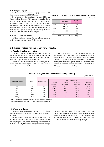#### **⑥** Castings / Forgings

2002 production of castings and forgings decreased 1.7% from the previous year to ¥2,159.0 billion.

### By category, powder metallurgy decreased 6.3%, and forged products decreased 7.1% from the year earlier due to the severe request of cost reduction from user industries under deflationary economy. And iron castings, malleable iron, precision castings, and copper & copper-base alloy castings decreased 2.9%, 17.3%, 8.9% and 3.1% decreased each. On the other hand, light alloy castings and die-castings increased 4.3% and 7.2% each from the previous year.

#### **⑦** Hunting Rifles / Ordnance

2002 production of hunting rifles and ordnance increased 10.2% from the previous year to ¥445.6 billion.

### Ordnance Hunting rifles 2000 397,503 8,759 2001 396,415 8,001 2002 438,213 7,390 Share | 100.0 | 100.0 02/01 110.5 92.4

**Table 3-11. Production in Hunting Rifles/ Ordnance**

( Source ) METI [ Machinery Statistics 2002]

### 3-2. Labor Indices for the Machinery Industry

### (1) Regular Employment Index

According to MPHPT's "Monthly Statistics of Japan", the regular employment index (2000=100) in Japanese industry (enterprises with 30 or more regular employees ) in 2002 decreased 1.4 points from the year earlier to 97.1.

The regular employment index in manufacturing fell 4.7 points from the previous year to 92.8, the tenth year of consecutive decline since 1993.

Looking at each sector in the machinery industry, the employment index in the general machinery sector decreased 4.4 points to 93.6, the index in the electrical machinery sector declined 8.7 points to 88.1, the transportation equipment employment index fell 2.7 points to 94.6, and the employment index in the precision instruments sector fell 4.6 points to 95.1. All sectors continued their decline.

### **Table 3-12. Regular Employees in Machinery Industry**

 $(2000 = 100, %)$ 

| Average during year | Total<br>Manufacturing |       | Machinery industry<br>Precision<br>Transportation<br>Electrical<br>General |           |           |             |  |
|---------------------|------------------------|-------|----------------------------------------------------------------------------|-----------|-----------|-------------|--|
|                     |                        |       | machinery                                                                  | machinery | equipment | instruments |  |
| 1998                | 102.4                  | 105.2 | 105.4                                                                      | 105.4     | 105.9     | 104.5       |  |
| 1999                | 101.2                  | 102.5 | 102.1                                                                      | 102.2     | 103.2     | 101.6       |  |
| 2000                | 100.0                  | 100.0 | 100.0                                                                      | 100.0     | 100.0     | 100.0       |  |
| 2001                | 98.5                   | 97.4  | 97.9                                                                       | 96.5      | 97.2      | 99.7        |  |
| 2002                | 97.1                   | 92.8  | 93.6                                                                       | 88.1      | 94.6      | 95.1        |  |
| 02/01(%)            | 98.6                   | 95.3  | 95.6                                                                       | 91.3      | 97.3      | 95.4        |  |

( Note ) Coverage: Establishments with 30 or more regular employees

( Source ) Statistics Bureau of MPHPT [Monthly Statistics of Japan ]

#### (2) Wages and Salary

In 2002, average monthly wages and salary for all industry for regular employees decreased 2.5% from the previous year to ¥387,600.

For all manufacturing, wages and salaries decreased 1.1% to ¥401,500 per month. Looking at wages in the machinery industry, wages in the general machinery sector decreased 4.7% to ¥438,000 ( 109% of the average for manufacturing), electrical machinery wages decreased 2.4% to ¥435,100 (108% of the rate for manufacturing), transportation equipment wages increased 3.4% to ¥485,800 (121% of manufacturing), and wages in the precision instruments sector decreased 3.7% to ¥400,800 (100% of the manufacturing average).

( million yen, % )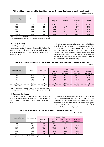### **Table 3-13. Average Monthly Cash Earnings per Regular Employee in Machinery Industry**

( Thousand yen, % )

| Average during year | Total | Manufacturing | Machinery industry   |                         |                             |                          |  |
|---------------------|-------|---------------|----------------------|-------------------------|-----------------------------|--------------------------|--|
|                     |       |               | General<br>machinery | Electrical<br>machinery | Transportation<br>equipment | Precision<br>instruments |  |
| 1998                | 415.7 | 407.8         | 446.1                | 424.1                   | 469.8                       | 402.0                    |  |
| 1999                | 396.3 | 399.1         | 445.4                | 433.3                   | 462.1                       | 412.5                    |  |
| 2000                | 398.1 | 406.7         | 461.5                | 446.9                   | 465.4                       | 423.9                    |  |
| 2001                | 397.4 | 406.1         | 459.4                | 445.6                   | 469.9                       | 416.0                    |  |
| 2002                | 387.6 | 401.5         | 438.0                | 435.1                   | 485.8                       | 400.8                    |  |
| $02/01(\%)$         | 97.5  | 98.9          | 95.3                 | 97.6                    | 103.4                       | 96.3                     |  |

( Note ) Coverage: Establishments with 30 or more regular employees ( Source ) Statistics Bureau of MPHPT [Monthly Statistics of Japan ]

### (3) Hours Worked

In 2002, the monthly hours actually worked by the average regular employee for all industry decreased 0.6% from the previous year to 153.1 hours per month. Monthly hours worked in manufacturing increased 0.6% from the year earlier to 163.8 hours per month.

Looking at the machinery industry, hours worked in the general machinery sector increased 0.7% to 167.4 hours (102% of the average for all manufacturing), hours worked in electrical machinery increased 1.3% to 160.7 hours (98% of manufacturing), hours worked in the transportation equipment sector increased 1.9% to 171.7 hours (105% of manufacturing), and precision instruments hours worked increased 0.1% to 161.6 hours (99% of manufacturing).

### **Table 3-14. Average Monthly Hours Worked per Regular Employee in Machinery Industry**

( hour, % )

|                     | Total |               | Machinery industry   |                         |                             |                          |  |
|---------------------|-------|---------------|----------------------|-------------------------|-----------------------------|--------------------------|--|
| Average during year |       | Manufacturing | General<br>machinery | Electrical<br>machinery | Transportation<br>equipment | Precision<br>instruments |  |
| 1998                | 156.6 | 162.7         | 166.9                | 160.3                   | 168.3                       | 159.2                    |  |
| 1999                | 153.5 | 161.9         | 163.8                | 159.9                   | 166.5                       | 161.5                    |  |
| 2000                | 154.9 | 164.7         | 169.0                | 163.6                   | 169.8                       | 165.0                    |  |
| 2001                | 154.0 | 162.9         | 166.3                | 158.7                   | 168.5                       | 161.4                    |  |
| 2002                | 153.1 | 163.8         | 167.4                | 160.7                   | 171.7                       | 161.6                    |  |
| $02/01$ (%)         | 99.4  | 100.6         | 100.7                | 101.3                   | 101.9                       | 100.1                    |  |

( Note ) Coverage: Establishments with 30 or more regular employees

( Source ) Statistics Bureau of MPHPT [Monthly Statistics of Japan ]

### (4) Productivity Index

According to MPHPT's "Monthly Statistics of Japan", the labor productivity index (2000=100) for all manufacturing in 2002 increased 2.8 points or 2.9% from the previous year to 98.8.

Looking at the labor productivity index in the machinery industry, the general machinery sector fell 2.8 points or a 3.0% decrease to 89.1, the electrical machinery sector increased 8.1 points or 9.0% to 98.4, transportation equipment rose 7.9 points or 7.6% to 111.4, and the precision instruments sector fell 5.0 points or 5.5% in productivity to 86.2.

**Table 3-15. Index of Labor Productivity in Machinery Industry**

| $(2000 = 100, %)$ |  |  |
|-------------------|--|--|
|                   |  |  |

| Average during year | Manufacturing | Machinery industry   |                         |                             |                          |  |  |  |
|---------------------|---------------|----------------------|-------------------------|-----------------------------|--------------------------|--|--|--|
|                     |               | General<br>machinery | Electrical<br>machinery | Transportation<br>equipment | Precision<br>instruments |  |  |  |
| 1998                | 92.2          | 95.0                 | 78.1                    | 93.2                        | 114.5                    |  |  |  |
| 1999                | 94.6          | 93.3                 | 85.9                    | 95.8                        | 104.5                    |  |  |  |
| 2000                | 100.0         | 100.0                | 100.0                   | 100.0                       | 100.0                    |  |  |  |
| 2001                | 96.0          | 91.9                 | 90.3                    | 103.5                       | 91.2                     |  |  |  |
| 2002                | 98.8          | 89.1                 | 98.4                    | 111.4                       | 86.2                     |  |  |  |
| 02/01(%)            | 102.9         | 97.0                 | 109.0                   | 107.6                       | 94.5                     |  |  |  |

( Source ) Statistics Bureau of MPHPT [Monthly Statistics of Japan ]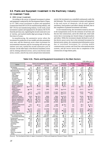## 3-3. Plants and Equipment Investment in the Machinery Industry

### (1) Investment Trends

### **①** 2002 Actual Investment

According to the survey of planned investment in plants and equipment conducted by the Development Bank of Japan, in F.Y. 2002 actual investment in plants and equipment (construction base) fell 16.2% for manufacturing industry, and fell 7.5% for non-manufacturing industry. As the result, actual investment in plants and equipment for all industry fell 10.3% from the previous year, registering the second consecutive year of decline, and marked double-digit percentage of decline, first time in 9 years.

In manufacturing, the automotive sector where the investment for production of new models and sales promotions were seen, and the chemicals sector where investment for environmental measures and for increasing self-service gas stations were seen, marked the second consecutive year of increase. On the other hand, in the electrical machinery sector and its relating industrial sectors, such as non-ferrous metal sector, ceramic, stone & clay sector and precision instruments

sector), the investment was controlled continuously under the dull demands. The actual investment in plants and equipment in the each sector of chemicals, iron & steel, general machinery, food products and others sharply declined, due to the completion of planned investments and others.

In non-manufacturing, the investment turned to increase in the transportation sector for the extension of rail lines and the new line constructions, and in the whole sale, retail trade sector due to increasing new brunch shops of supermarkets and others. While the investment sharply declined in each of the electric power sector due to the restrained investment for thermal power plants, the communication/information sector due to restrained investment for existing mobile communication systems and fixed line telecommunication systems, and the service sector due to completion of the construction of large theme parks.

| (100 million yen, %)                                                                                                             |                                                       |                                                     |                                                                |                                                                 |                                                  |                                                  |                                                 |                                                  |
|----------------------------------------------------------------------------------------------------------------------------------|-------------------------------------------------------|-----------------------------------------------------|----------------------------------------------------------------|-----------------------------------------------------------------|--------------------------------------------------|--------------------------------------------------|-------------------------------------------------|--------------------------------------------------|
| Sector                                                                                                                           |                                                       | Plants and equipment investment                     |                                                                |                                                                 | Change                                           | Weight                                           | Plan (Change)                                   |                                                  |
|                                                                                                                                  | 2000/99                                               | 2001/2000                                           | F.Y. 2001                                                      | F.Y. 2002                                                       | 2002/2001                                        | F.Y. 2002                                        | 2003/2002                                       | 2004/2003                                        |
| All industry<br>(excluding electricity)                                                                                          | 4.1<br>6.8                                            | 9.3<br>9.3)                                         | 208.512<br>(175, 870)                                          | 187.138<br>(160, 941)                                           | 10.3<br>8.5)                                     | 100<br>(86.0)                                    | 4.9<br>(6.3)                                    | 6.1<br>6.6)                                      |
| Manufacturing                                                                                                                    | 12.5                                                  | 9.7                                                 | 66,623                                                         | 55,861                                                          | 16.2                                             | 29.9                                             | 16.2                                            | 11.0                                             |
| Food products<br><b>Textiles</b><br>Pulp, paper<br>Chemicals                                                                     | 3.2<br>19.8<br>24.2<br>10.1                           | 6.5<br>3.3<br>15.1<br>8.1                           | 4,262<br>713<br>2,272<br>10,039                                | 3,639<br>617<br>1,825<br>8,121                                  | 14.6<br>13.4<br>19.7<br>19.1                     | 1.9<br>0.3<br>1.0<br>4.3                         | 4.2<br>1.3<br>11.7<br>11.2                      | 5.0<br>25.7<br>26.8<br>7.3                       |
| Oil industry<br>Ceramic, stone &<br>clay products                                                                                | 36.8<br>37.1                                          | 34.7<br>7.4                                         | 1,200<br>2,368                                                 | 1,588<br>1,618                                                  | 32.3<br>31.7                                     | 0.8<br>0.9                                       | 9.8<br>18.4                                     | 16.1<br>0.2                                      |
| Iron & steel<br>Non-ferrous metals<br>General machinery                                                                          | 21.1<br>64.3<br>0.6                                   | 7.5<br>10.2<br>3.3                                  | 4,183<br>3,358<br>4,312                                        | 3,309<br>1.861<br>3,506                                         | 20.9<br>44.6<br>18.7                             | 1.8<br>1.0<br>1.9                                | 22.3<br>23.7<br>13.8                            | 24.2<br>9.0<br>3.9                               |
| (Boiler, engines &<br>turbines)                                                                                                  | 22.8                                                  | (12.9)                                              | (399)                                                          | (474)                                                           | (18.7)                                           | (0.2)                                            | 2.1)                                            | 3.4)                                             |
| (Metal working<br>machinery)                                                                                                     | 5.8)                                                  | (12.2)                                              | (282)                                                          | (236)                                                           | 16.4)<br>$\overline{ }$                          | (0.1)                                            | (13.7)                                          | 5.9)                                             |
| (Office machines)<br>(Industrial<br>machinery)                                                                                   | 5.0<br>3.3)                                           | (1.8)<br>3.8)                                       | (1,518)<br>(1, 417)                                            | (1,320)<br>(1,082)                                              | 13.1)<br>23.7)                                   | (0.7)<br>(0.6)                                   | (18.0)<br>(4.6)                                 | (1.9)<br>(3.6)                                   |
| (Machinery parts)<br>Electrical machinery<br>(Electric appliances)<br>(Electric machinery)<br>(Parts of electronic<br>apparatus) | (18.6)<br>38.7<br>(2.5)<br>11.6<br>$\left($<br>(60.5) | 25.2)<br>$\left($<br>34.4<br>18.4)<br>7.3)<br>40.5) | (695)<br>15.940<br>(4, 511)<br>(941)<br>(10, 488)              | (394)<br>12.606<br>(3,640)<br>(670)<br>(8, 296)                 | 43.3)<br>20.9<br>19.3<br>(28.8)<br>20.9)         | (0.3)<br>6.7<br>(2.0)<br>(0.4)<br>(4.4)          | (43.9)<br>22.3<br>(13.8)<br>(7.2)<br>(27.2)     | 50.4)<br>12.6<br>7.5)<br>(3.8)<br>15.0)          |
| <b>Precision instruments</b><br>Transportation<br>equipment                                                                      | 34.2<br>3.7                                           | 5.7<br>2.0                                          | 1,335<br>12,512                                                | 1,065<br>12,705                                                 | 20.2<br>1.5                                      | 0.6<br>6.8                                       | 30.4<br>16.7                                    | 27.2<br>2.3                                      |
| (Automotive)<br>(Shipbuilding)<br>(Aircraft)<br>Other manufacturing                                                              | 3.2)<br>(31.3)<br>34.8)<br>5.3                        | (1.1)<br>(33.0)<br>(10.2)<br>8.6                    | (11, 978)<br>(125)<br>(288)<br>4,130                           | (12, 116)<br>(120)<br>(316)<br>3,401                            | (1.2)<br>(4.4)<br>(9.8)<br>17.7                  | (6.5)<br>(0.2)<br>(0.1)<br>1.8                   | (16.5)<br>(31.6)<br>(13.5)<br>24.9              | (0.6)<br>30.4)<br>(1.4)<br>18.8                  |
| Non-manufacturing<br>(excluding electricity)                                                                                     | 0.4<br>(3.5)                                          | 9.2<br>9.0)                                         | 141.889<br>(109, 247)                                          | 131.277<br>(105,080)                                            | 7.5<br>3.8                                       | 70.1<br>(56.2)                                   | 0.2<br>(1.2)                                    | 5.1<br>5.3)                                      |
| Construction<br>Wholesale, retail trade<br>Real estate<br>Transportation<br>Electricity<br>Gas<br>Communication /<br>information | 5.4<br>6.6<br>17.7<br>5.0<br>9.5<br>2.1<br>2.1        | 0.1<br>19.6<br>20.5<br>7.1<br>9.8<br>15.3<br>10.8   | 1,308<br>9.870<br>8,165<br>17.052<br>32,642<br>2,684<br>30,770 | 1,387<br>10.151<br>8.113<br>19.743<br>26,197<br>2,427<br>26,405 | 6.0<br>2.8<br>0.6<br>15.8<br>19.7<br>9.6<br>14.2 | 0.7<br>5.4<br>4.3<br>10.5<br>14.0<br>1.3<br>14.1 | 21.8<br>1.8<br>12.6<br>2.3<br>4.1<br>9.1<br>2.1 | 21.5<br>3.1<br>39.2<br>13.0<br>4.8<br>7.7<br>6.5 |
| Leasing<br>Service<br>Other non-maufac-<br>turing                                                                                | 5.4<br>3.7<br>13.7                                    | 2.8<br>35.5<br>11.6                                 | 35,673<br>3,312<br>414                                         | 34.091<br>2,264<br>499                                          | 4.4<br>31.6<br>20.5                              | 18.2<br>1.2<br>0.3                               | 3.4<br>1.8<br>17.8                              | 3.9<br>7.7<br>9.3                                |

### **Table 3-16. Plants and Equipment Investment in the Main Sectors**

(Source) The Development Bank of Japan [ Investment in Plants and Equipment Research Report, 2003.8]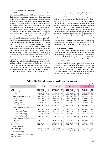### F.Y. 2003 Planned Investment

F.Y.2003 planned investment in plants and equipment for all industries will increase 4.9% from the previous year, as the investment in manufacturing industries will act as a driving engine for other industries. For manufacturing industries, total planned investment in plants and equipment will turn upward after three consecutive years of decline, because in more than half of manufacturing industries including automotive industry and electric machinery industry will drastically increase their investments, but as a total of the manufacturing it will be still in low level. In the electrical machinery industry the manufacturers of end products such as audio-video equipments will aggressively invest for plants and equipment of devices and others such as flat-screen display equipments, pushed by sharply increasing demands for digital consumer- electronics. In addition to the above, The investment in plants will sharply increase in the precision instruments industry for the equipments related to semiconductor manufacturing equipments, in the non-ferrous metals industry for preparation for 300 mm silicon wafers, and in ceramics, stone and clay products industry for glass-substrates for liquid crystal display equipments, as the driving engines in the sectors related to the electric parts and devices industry. And in the chemicals industry, the investment for electronics materials for information equipments in addition to the investment for medical products will pull up the level of total investments. And the automotive industry (for preparation for new model cars) and the iron and steel industry (for renewal or repairing of blast furnaces) will make it active to invest for renewal of facilities on the ground of healthy sales and revenues.

In non-manufacturing industries, total planned investment in plants and equipment will increase 0.2% in 2003 from the previous year. In the real estate sector where big renewal projects will be completed, and the electric power industry were the restrain of investment will continue for improving their balance sheets, the investment in plants and equipment will drop. On the other hand, plants and equipment investment in the leasing industry in there the increase of demands is expected, in the communication/information industry where the investment for next-generation mobile-phone, fiber optic network and terrestrial digital broadcasting systems will be expected, and in the wholesale, retail trade industry where new location of branch shop of supermarket is active, will increase. As the result the total investment in plants and equipment in the non-manufacturing industries in 2003 will remain almost in the same level with the year earlier.

#### (2) Machinery Orders

According to the survey of actual orders for machinery conducted by the Cabinet Office (280 companies surveyed), total machinery orders for F.Y.2002 decreased 1.9% from the year earlier to ¥22,834.3 billion, after it declined in 1999 0.3% from the previous year, increased 12.3% in 2000, and decreased 12.3% in 2001.

Looking at machinery orders from the private sector in F.Y.2002, the orders from the manufacturing sector decreased 1.9%, and orders from the non-manufacturing sector decreased 9.3% from the previous year. As a result, machinery orders from the private sector registered a 7.0% decrease from the previous year, the second consecutive year of decline.

|                                        | F.Y.1999     | F.Y. 2000    | F.Y. 2001    | F.Y. 2002    |
|----------------------------------------|--------------|--------------|--------------|--------------|
| Total                                  | 23,631,055   | (12.3)       | 23,280,779 ( | 22,834,318 ( |
|                                        | (0.3)        | 26,548,850   | 12.3)        | 1.9)         |
| Total (excluding vessels)              | 1.5)         | 25,119,319"  | 22,036,282   | 21,556,530   |
|                                        | 22,511,361   | (11.6)       | 12.3)        | 2.2)         |
| Foreign                                | 6.318.442    | 7,463,097    | 5,791,558    | 6,586,057(   |
|                                        | (10.2)       | (18.1)       | 22.4)        | 13.7)        |
| Domestic                               | 15,856,766"  | (10.7)       | 16,188,606   | 15,040,981   |
|                                        | 3.3)         | 17,559,465   | 7.8)         | 7.1)         |
| Domestic (excluding vessels)           | 3.8)         | 17,251,186   | 16,052,499   | 14,894,098 ( |
|                                        | 15,541,704 ( | (11.0)       | 6.9)         | 7.2)         |
| Public sector                          | 5.8)         | 4,155,073    | 3,774,844    | 3,490,117    |
|                                        | 3,902,059 (  | (6.5)        | 9.2)         | 7.5)         |
| Private sector                         | 11,954,707 ( | 13,404,392   | 12,413,762   | 7.0)         |
|                                        | (2.4)        | (12.1)       | 7.4)         | 11,550,864   |
| Private sector                         | 11,856,903   | 13,302,864   | 12,277,746   | 11,404,398   |
|                                        | 2.7)         | (12.2)       | 7.7)         | 7.1)         |
| (excluding vessels)                    |              |              |              |              |
| Private sector                         | (0.6)        | 12,202,782   | 10,662,171 ( | 10,266,435 ( |
|                                        | 10,469,293   | (16.6)       | 12.6)        | 3.7)         |
| (excluding vessels and electric power) |              |              |              |              |
| Manufacturing                          | (0.7)        | 5,190,531    | (23.8)       | 3,880,681 (  |
|                                        | 4,359,620    | (19.1)       | 3,957,545 (  | 1.9)         |
| Non-Manufacturing                      | 4.2)         | 8,213,861    | (3.0)        | 9.3)         |
|                                        | 7,595,087 (  | (8.1)        | 8,456,217    | 7,670,183 (  |
| Non-Manufacturing                      | (4.5)        | (8.1)        | (2.3)        | 9.6)         |
|                                        | 7,519,928    | 8,125,531    | 8,351,750    | 7,552,214    |
| (excluding vessels)                    |              |              |              |              |
| Non-Manufacturing                      | 6,132,318    | 7,025,449    | 6,736,175    | 6,414,251 (  |
|                                        | (0.6)        | (14.6)       | 4.1)         | (4.8)        |
| (excluding vessels and electric power) |              |              |              |              |
| Agencies                               | 1,455,847 (  | (4.8)        | 1,300,615 (  | 1,207,280 (  |
|                                        | 7.1)         | 1,526,288    | (14.8)       | 7.2)         |
| Sales amounts                          | 25,268,740   | 26,824,470   | 23,631,439   | 23,166,847   |
|                                        | (2.0)        | (6.2)        | 11.9         | (2.0)        |
| Sales amounts                          | 1.1)         | (6.3)        | 12.5)        | (2.6)        |
|                                        | 24, 151, 827 | 25,678,462   | 22,466,905   | 21,884,730   |
| (excluding vessels)                    |              |              |              |              |
| Order outstanding                      | 18,445,079 ( | 18,276,954 ( | 17,747,158   | 17,102,140 ( |
|                                        | 5.0)         | (0.9)        | (2.3)        | 3.6)         |
| Order outstanding                      | 16,454,924   | 16,010,368 ( | 5.2)         | 14,709,971   |
|                                        | 5.4)         | (2.7)        | 15,185,133   | 3.1)         |
| (excluding vessels)                    |              |              |              |              |

#### **Table 3-17. Orders Received for Machinery ( by source )**

( Note ) Coverage 280 major companies

( Source ) Cabinet Office

 $(million$  yen,  $%$ )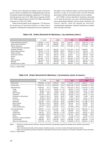Private sector demand (excluding vessels and electric power), which is considered to be a leading indicator of private investment in plants and equipment, registered a 3.7% decrease from the previous year in F.Y. 2002, after an increase of 0.6% in F.Y.1999, a sharp increase of 16.6% in F.Y.2000, and marked a decrease of 12.6% in F.Y.2001.

Orders from the public sector registered a 7.5% decrease, the second year of consecutive decline, as orders from 4 categories including the transportation services operated by the public sector, Defense Agency, and local governments declined, in spite of increased orders from the National government and the telecommunication services industry.

In F.Y.2002, overseas demand for machinery decreased 13.7% from the previous year, due to declined demand for power generating machinery, electric power machinery and railway vehicles, while the demand for electronic/ communication equipment, industrial machineries, machine tools and ships increased.

### **Table 3-18. Orders Received for Machinery ( by machinery items )**

|                              |            |            |           | million yen, %) |
|------------------------------|------------|------------|-----------|-----------------|
|                              | F.Y. 1999  | 2000       | 2001      | 2002            |
| Power generating machinery   | 14.2)      | (3.0)      | (16.1)    | 1,592,178       |
|                              | 1,758,867  | 1,811,811  | 2,102,607 | (24.3)          |
| Electric power machinery     | 7.6)       | 1,809,558  | 1,657,741 | 1,552,782       |
|                              | 1,801,906  | (0.4)      | 8.4)      | 6.3)            |
| Electric equipment,          | 10,068,394 | 11,442,583 | 9,719,885 | 9,717,035       |
| Telecommunications apparatus | (5.4)      | (13.6)     | 15.1)     | (0.0)           |
| Industrial machinery         | (2.3)      | 7,358,320  | 6,227,180 | (1.9)           |
|                              | 6,623,971  | (11.1)     | 15.4)     | 6,346,907       |
| Metal cutting machinery      | 683,957    | (29.6)     | 31.3)     | 618,110         |
|                              | 17.2)      | 886,566    | 609.411   | (1.4)           |
| Railway vehicles             | 22.2)      | (56.4)     | 21.4)     | 365,878         |
|                              | 304,742    | 476,752    | 374,827   | (2.4)           |
| Road motor vehicles          | 402,247    | 458,716    | (1.1)     | 516,579         |
|                              | (8.0)      | (14.0)     | 453,877   | (13.8)          |
| Aircraft                     | 6.1)       | 875.013    | 890,754   | 847.061         |
|                              | 867,277    | (0.9)      | (1.8)     | (4.9)           |
| Ships                        | 1,119,694  | (27.7)     | 12.9      | 1,277,788       |
|                              | (31.4)     | 1,429,531  | 1,244,497 | (2.7)           |
| Steel structures             | 661,335    | 10.7       | 522,626   | 463,570         |
|                              | 11.4)      | 590,543(   | 11.5)     | 11.3)           |
| <b>Bearings</b>              | (3.2)      | (4.3)      | 521,959   | 580,331         |
|                              | 569,421    | 593,760    | 12.1)     | (11.2)          |
| Electrical wires & cables    | 028,200    | (5.2)      | 988,325   | 936,351         |
|                              | 3.5)       | 1,081,332  | 8.6)      | (5.3)           |

( Source ) Cabinet Office

### **Table 3-19. Orders Received for Machinery ( by business sector of source )**

|                                   |             |             |              | million yen, %) |
|-----------------------------------|-------------|-------------|--------------|-----------------|
|                                   | F.Y. 1999   | 2000        | 2001         | 2002            |
| Public sector                     | 5.8)        | 4,155,073   | 9.2)         | 3,490,117       |
|                                   | 3,902,059   | (6.5)       | 3,774,844    | 9.2)            |
| Private sector                    | 11,954,707  | 13,404,392  | 10,605,780 ( | 9,679,869       |
|                                   | 2.4)        | (12.1)      | 20.9         | (20.9)          |
| (Manufacturing)                   | 4,359,620   | (19.1)      | 3,814,242 (  | 3,744,276       |
|                                   | (0.7)       | 5,190,531   | 26.5)        | 26.5)           |
| Foods                             | 3.2)        | 153,094     | 9.2)         | 119,738         |
|                                   | 155,755     | 1.7)        | 138,973      | 9.2)            |
| <b>Textiles</b>                   | 60,930      | 56,200      | 50,230 (     | 42,677          |
|                                   | 4.1)        | 7.8)        | 10.6         | 10.6)           |
| Paper & pulp                      | 93,090      | 114,867     | 68,066 (     | 73,438          |
|                                   | (9.8)       | (23.4)      | 40.7)        | 40.7)           |
| Chemicals                         | 300,781 (   | (42.8)      | 326,189 (    | 276,161         |
|                                   | 16.5)       | 429,373     | 24.0         | 24.0)           |
| Petroleum & coal products         | 57,804 (    | 68,357      | 75,809       | 71,268          |
|                                   | 29.1)       | (18.3)      | (10.9)       | (10.9)          |
| Ceramics                          | 48,064 (    | (22.1)      | 19.1)        | 19.1)           |
|                                   | 22.9)       | 58,706      | 47,514 (     | 42,261          |
| Iron & steel                      | 151,280 (   | (36.0)      | 147,889 (    | 127,849         |
|                                   | 24.4)       | 205,701     | 28.1)        | 28.1)           |
| Machinery                         | (17.6)      | (21.8)      | 32.9)        | 1,777,398       |
|                                   | 2,116,487   | 2,578,430   | 1,729,585 (  | 32.9)           |
| Motor vehicles                    | 290,440 (   | (33.9)      | (5.2)        | 442,989         |
|                                   | 20.2        | 388,878     | 409,165      | (5.2)           |
| Shipbuilding                      | 140,512 (   | (19.7)      | 179,513      | 192,926         |
|                                   | 11.8)       | 168,209     | (6.7)        | (6.7)           |
| Other manufacturing               | 944,477     | (11.3)      | 39.0)        | 577,571 (       |
|                                   | (12.4)      | 1,051,641   | 641,309 (    | 39.0)           |
| (Non-Manufacturing)               | 4.2)        | 8,213,861   | 17.3)        | 5,935,593 (     |
|                                   | 7,595,087   | (8.1)       | 6,791,538 (  | 17.3)           |
| Transport                         | 617,624     | 677,187     | (3.2)        | 704,195         |
|                                   | 1.4)        | (9.6)       | 699,056      | (3.2)           |
| Construction                      | (5.1)       | 556,520     | 15.5)        | 420,231         |
|                                   | 581,272     | 4.3)        | 470,422 (    | 15.5)           |
| Electric power                    | 22.0)       | 1,100,778 ( | 1,615,879    | 1,138,008       |
|                                   | 1,387,698 ( | 20.7)       | (46.8)       | (46.8)          |
| Mining                            | 54,573      | 48,291 (    | 37,146 (     | 29,256          |
|                                   | (20.6)      | 11.5)       | 23.1)        | 23.1)           |
| Agriculture, forestry & fisheries | 565,929     | 539,340     | 522,668      | 505,741         |
|                                   | (4.0)       | 4.7)        | 3.1)         | 3.1)            |
| Communication                     | (5.2)       | 2,516,784   | 2,300,358    | 8.6)            |
|                                   | 1,950,842   | (29.0)      | 8.6)         | 2,050,349       |
| Other non-manufacturing           | 2,437,149   | 2,774,961   | 1,146,009 (  | 1,087,813       |
|                                   | 3.4)        | (13.9)      | 58.7)        | 58.7)           |

(Note) – Machinery includes general machinery, electrical machinery, transportation quipment (excluding motor vehicles) and precision instruments.

– Other manufacturing includes rubber products & leather products, non-ferrous metals, fabricated metals and others.

– Other non-manufacturing includes wholesale & retail trade, financial services & insurance, real estate, information services and others.

( Source ) Cabinet Office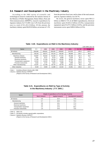### 3-4. Research and Development in the Machinery Industry

According to the 2002 survey of scientific and technological research conducted by the statistics bureau of the Ministry of Public Management, Home Affairs, Posts and Telecommunications (MPHPT), research expenditures by Japanese industry for F.Y.2001 rose 5.4% from the previous year to a total of ¥11,451.0 billion. Of this amount, the machinery industry spent ¥6,833.8 billion, an increase of 1.3% from the previous fiscal year, and its share of the total amount spent by Japanese industry was 59.7%.

By sector, the general machinery sector spent ¥815.3 billion on R&D (7.1% of all R&D expenditures), electrical machinery spent ¥3,852.4 billion (33.6%), transportation equipment spent ¥1,675.5 billion (14.6%), and the precision instruments sector spent ¥490.6 billion (4.3%).

|                          |         |         |         |         |         |       | (100 million yen, %) |
|--------------------------|---------|---------|---------|---------|---------|-------|----------------------|
| Sector                   | F.Y.    | 1998    | 1999    | 2000    | 2001    | 01/00 | <b>Weight</b>        |
| All industry             | 106,584 | 108,001 | 106,302 | 108,602 | 114,510 | 105.4 | 100.0                |
| Manufacturing            | 98.164  | 98,071  | 95.216  | 98,160  | 98,849  | 100.7 | 86.3                 |
| Machinery industry       | 65.897  | 66.302  | 64.484  | 67.431  | 68.338  | 101.3 | 59.7                 |
| General machinery        | 7.901   | 8.117   | 8.114   | 8.836   | 8.153   | 92.3  | 7.1                  |
| Electrical machinery     | 37.194  | 37.128  | 36.159  | 38.200  | 38.524  | 100.8 | 33.6                 |
| Transportation equipment | 16.540  | 16.320  | 15.296  | 15.526  | 16.755  | 107.9 | 14.6                 |
| Precision instruments    | 4.262   | 4.737   | 4.915   | 4.869   | 4.906   | 100.8 | 4.3                  |
| Other manufacturing      | 32,267  | 31.769  | 30.732  | 30.729  | 30.511  | 99.3  | 26.6                 |
| Other industries         | 8.420   | 9.930   | 11.086  | 10.442  | 15.661  | 150.0 | 13.7                 |

### **Table 3-20. Expenditures on R&D in the Machinery Industry**

( Note ) Including software industry after 1996

( Source ) Statistics Bureau of MPHPT

[ Report on the Survey of Research and Development 2002 ]

### **Table 3-21. Expenditures on R&D by Type of Activity in the Machinery Industry ( F.Y. 2001 )**

(%) Sector Weight of expenditure on R & D by type of activity Basic research Applied research Development research All industry 5.8 20.4 73.9 Manufacturing 5.7 20.0 74.3 General machinery 19.1 19.1 19.1 19.1 19.1 19.1 19.1 177.3 Electrical machinery and the state of the state of the state of the state of the state of the state of the state of the state of the state of the state of the state of the state of the state of the state of the state of th Transportation equipment  $\vert$  2.4 14.3 83.2 Precision instruments and the contract of the contract of the contract of the contract of the contract of the contract of the contract of the contract of the contract of the contract of the contract of the contract of the

( Note 1) 2002.3.31.

( Note 2 ) All Industry includes special public corporations.

( Source ) Statistics Bureau of MPHPT

[ Report on the Survey of Research and Development 2002 ]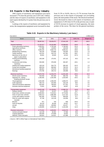### 3-5. Exports in the Machinery Industry

2002 exports of machinery and equipment (yen base) increased 5.7% from the previous year to ¥37,542.1 billion, and the share of exports of machinery and equipment in the total exports declined by 0.5 points from the previous year to 72.0%.

Looking at the exports of machinery and equipment by sector, the transportation equipment sector increased its share from 31.3% to 34.6%, due to a 21.7% increase from the previous year in the exports of passenger cars (excluding parts), the main product of the sector. The electrical machinery sector decreased its share in all exports of machinery and equipment to 31.8% from 32.5% in the previous year, in spite of 18.5% increase in exports of visual apparatus, the main product of the sector. The share for the general machinery

**Table 3-22. Exports in the Machinery Industry ( yen base )**

| [ by sector ]                  |            |            |            |           | [ million yen ] |
|--------------------------------|------------|------------|------------|-----------|-----------------|
| Sector                         | 2000       | 2001       | 2002       | 02/01 (%) | Weight (%)      |
| Total                          | 38,367,511 | 35,525,071 | 37,542,130 | 105.7     | 100.0           |
| General machinery              | 11,101,517 | 10,232,855 | 10,598,833 | 103.6     | 28.2            |
| Power generating machinery     | 1,635,451  | 1,720,184  | 1,748,263  | 101.6     | 4.7             |
| Agricultural machinery         | 127,986    | 119,652    | 139,429    | 116.5     | 0.4             |
| Office machines                | 3,094,226  | 2,820,710  | 3,005,311  | 106.5     | 8.0             |
| Metalworking machinery         | 756,105    | 678,868    | 705,926    | 103.9     | 1.9             |
| Textile machines               | 222,231    | 225,722    | 247,561    | 109.7     | 0.7             |
| Machinery for the mfrs.of      | 28,461     | 20,926     | 22,513     | 107.6     | 0.1             |
| paper or pulp articles         |            |            |            |           |                 |
| Printing and bookbinding       | 193,189    | 175,431    | 167,122    | 95.3      | 0.4             |
| machines                       |            |            |            |           |                 |
| Construction and mining        | 354,946    | 378,406    | 492,407    | 130.1     | 1.3             |
| machinery                      |            |            |            |           |                 |
| Heating and cooling equipment  | 420,118    | 354,775    | 360,162    | 101.5     | 1.0             |
| Pumps and centrifuges          | 685,018    | 690,650    | 769,153    | 111.4     | 2.0             |
|                                |            |            |            | 106.4     | 1.1             |
| Mechanical handling equipment  | 390,852    | 378,478    | 402,532    | 99.3      | 0.7             |
| <b>Bearings</b>                | 270,766    | 248,722    | 246,998    |           |                 |
| Electrical machinery           | 13,670,794 | 11,534,475 | 11,924,196 | 103.4     | 31.8            |
| Electric power machinery       | 633,459    | 587,093    | 566,759    | 96.5      | 1.5             |
| Apparatus for making,          | 1,436,405  | 1,202,356  | 1,252,835  | 104.2     | 3.3             |
| breaking, electronic circuits  |            |            |            |           |                 |
| Visual apparatus               | 1,502,439  | 1,358,205  | 1,609,474  | 118.5     | 4.3             |
| Audio apparatus                | 350,715    | 252,066    | 243,129    | 96.5      | 0.6             |
| Telecommunications apparatus   | 920,282    | 766,820    | 577,331    | 75.3      | 1.5             |
| Domestic electrical equipment  | 73,451     | 65,550     | 60,837     | 92.8      | 0.2             |
|                                |            |            |            |           |                 |
| Transportation equipment       | 10,823,169 | 11,129,051 | 12,999,722 | 116.8     | 34.6            |
| Railway vehicles               | 40,187     | 62,207     | 52,051     | 83.7      | 0.1             |
| Road motor vehicles excl.parts | 6,930,054  | 7,210,812  | 8,774,645  | 121.7     | 23.4            |
| Parts of road motor vehicles   | 1,864,212  | 1,880,380  | 2,117,162  | 112.6     | 5.6             |
| Cycles with engines mounted    | 562,495    | 573,926    | 560,628    | 97.7      | 1.5             |
| Parts for cycles with engines  | 97,786     | 115,128    | 115,056    | 99.9      | 0.3             |
| mounted                        |            |            |            |           |                 |
| <b>Bicycles</b>                | 971        | 793        | 828        | 104.4     | 0.0             |
| Parts for bicycles             | 56,120     | 46,295     | 52,647     | 113.7     | 0.1             |
| Aircraft                       | 160,823    | 209,994    | 161,877    | 77.1      | 0.4             |
| Ships                          | 1,106,695  | 1,026,134  | 1,152,209  | 112.3     | 3.1             |
|                                |            |            |            | 76.8      | 5.4             |
| <b>Precision instruments</b>   | 2,772,031  | 2,628,691  | 2,019,379  |           |                 |
| Camera and parts thereof       | 112,139    | 82,481     | 57,566     | 69.8      | 0.2             |
| Copying apparatus              | 333,409    | 273,958    | 32,632     | 11.9      | 0.1             |
| Watches, clocks and parts      | 146,924    | 124,621    | 121,988    | 97.9      | 0.3             |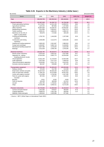| [by sector]                    |             |              |             |             | [thousand dollar] |
|--------------------------------|-------------|--------------|-------------|-------------|-------------------|
| Sector                         | 2000        | 2001         | 2002        | $02/01$ (%) | Weight (%)        |
| Total                          | 356,033,759 | 292,550,544  | 300,448,961 | 102.7       | 100.0             |
| General machinery              | 102,987,608 | 84,268,724   | 84,799,288  | 100.6       | 28.2              |
| Power generating machinery     | 15,173,821  | 14, 151, 136 | 13,959,321  | 98.6        | 4.6               |
| Agricultural machinery         | 1,187,232   | 987,956      | 1,107,883   | 112.1       | 0.4               |
| Office machines                | 28,697,826  | 23,239,707   | 24,045,387  | 103.5       | 8.0               |
| Metalworking machinery         | 7,012,859   | 5,593,927    | 5,647,273   | 100.9       | 1.9               |
| <b>Textile machines</b>        | 2,060,241   | 1,860,034    | 1,988,132   | 106.9       | 0.7               |
| Machinery for the mfrs.of      | 263,876     | 172,582      | 180,109     | 104.4       | 0.1               |
| paper or pulp articles         |             |              |             |             |                   |
| Printing and bookbinding       | 1,792,752   | 1,444,005    | 1,337,589   | 92.6        | 0.4               |
| machines                       |             |              |             |             |                   |
|                                |             |              |             | 126.5       | 1.3               |
| Construction and mining        | 3,295,989   | 3,112,574    | 3,936,266   |             |                   |
| machinery                      |             |              |             |             |                   |
| Heating and cooling equipment  | 3,900,202   | 2,921,697    | 2,880,924   | 98.6        | 1.0               |
| Pumps and centrifuges          | 6,353,967   | 5,682,718    | 6,159,665   | 108.4       | 2.1               |
| Mechanical handling equipment  | 3,627,468   | 3,116,033    | 3,223,446   | 103.4       | 1.1               |
| Bearings                       | 2,511,629   | 2,048,794    | 1,978,265   | 96.6        | 0.7               |
| <b>Electrical machinery</b>    | 126,826,795 | 95,020,872   | 95,549,948  | 100.6       | 31.8              |
| Electric power machinery       | 5,875,544   | 4,832,431    | 4,527,890   | 93.7        | 1.5               |
| Apparatus for making,          | 13,324,059  | 9,902,775    | 10,034,008  | 101.3       | 3.3               |
| breaking, electronic circuits  |             |              |             |             |                   |
| Visual apparatus               | 13,911,105  | 11,170,618   | 12,924,406  | 115.7       | 4.3               |
| Audio apparatus                | 3,257,630   | 2,077,214    | 1,948,018   | 93.8        | 0.6               |
| Telecommunications apparatus   | 8,540,683   | 6,321,743    | 4,623,263   | 73.1        | 1.5               |
| Domestic electrical equipment  | 681,567     | 539,988      | 487,100     | 90.2        | 0.2               |
| Transportation equipment       | 100,493,494 | 91,605,420   | 103,935,906 | 113.4       | 34.6              |
| Railway vehicles               | 373,453     | 511,786      | 413,268     | 80.8        | 0.1               |
| Road motor vehicles excl.parts | 64,327,014  | 59,333,193   | 70,227,813  | 118.4       | 23.4              |
| Parts of road motor vehicles   | 17,295,134  | 15,474,809   | 16,937,525  | 109.5       | 5.6               |
| Cycles with engines mounted    | 5,214,908   | 4,736,384    | 4,447,490   | 93.9        | 1.5               |
| Parts for cycles with engines  | 907,054     | 947,527      | 918,254     | 96.9        | 0.3               |
| mounted                        |             |              |             |             |                   |
| <b>Bicycles</b>                | 9,011       | 6,520        | 6,629       | 101.7       | 0.0               |
| Parts for bicycles             | 520,439     | 380,948      | 421,510     | 110.6       | 0.1               |
| Aircraft                       | 1,491,705   | 1,726,051    | 1,288,194   | 74.6        | 0.4               |
| Ships                          | 10,319,286  | 8,460,411    | 9,174,159   | 108.4       | 3.1               |
| <b>Precision instruments</b>   | 25,725,863  | 21,655,528   | 16,163,819  | 74.6        | 5.4               |
| Camera and parts thereof       | 1,041,835   | 679,627      | 460,694     | 67.8        | 0.2               |
| Copying apparatus              | 3,096,670   | 2,261,165    | 260,094     | 11.5        | 0.1               |
| Watches, clocks and parts      | 1,363,622   | 1,025,096    | 977,492     |             | 0.3               |
|                                |             |              |             |             |                   |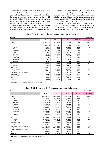sector fell by 0.6 points from 28.8% to 28.2% in spite of an increase of 6.5% and 1.6% in exports of office machinery, the main product of the sector, and power generating machinery. The precision instruments sector decreased its share by 2.0 points to 5.4% from 7.4% in the year earlier, due to a 2.1% decrease in exports of watches, clocks and parts, and a drastic decrease of 88.1% in exports of copying apparatus.

Looking at the exports of machinery and equipment by destination, exports to the United States, the destination of the largest amount of exports, showed a increase of 0.9% from the previous year. On the other hand, the U.S. share in all exports of machinery and equipment dropt from 33.5% in the previous year to 32.0%, due to the increased exports to almost all other countries. China, the number 2 destination, increased its share from 5.8% to 7.7%, and the share of number 3 Hong Kong also rose from 5.3% to 5.7%.

By region, North America decreased its share 1.3 points to 34.1% from 35.4% in the year earlier. On the other hand, Asia increased its share to 37.1% from 34.4% in the previous year, and overtook the top share from North America.

| [by area]                    |            |            |            |           | million yen ] |
|------------------------------|------------|------------|------------|-----------|---------------|
| Area                         | 2000       | 2001       | 2002       | 02/01 (%) | Weight (%)    |
| Total                        | 38,367,511 | 35,525,071 | 37,542,130 | 105.7     | 100.0         |
| <b>U.S.A.</b>                | 12,528,269 | 11,910,294 | 12,020,703 | 100.9     | 32.0          |
| Taiwan                       | 2,566,276  | 1,811,083  | 2,000,836  | 110.5     | 5.3           |
| R.Korea                      | 2,012,000  | 1,706,693  | 1,989,561  | 116.6     | 5.3           |
| Hong Kong                    | 1,944,116  | 1,870,674  | 2,126,212  | 113.7     | 5.7           |
| China                        | 1,797,842  | 2,066,495  | 2,880,153  | 139.4     | 7.7           |
| Germany                      | 1,721,963  | 1,462,322  | 1,318,697  | 90.2      | 3.5           |
| Singapore                    | 1,683,642  | 1,267,752  | 1,215,220  | 95.9      | 3.2           |
| U.Kingdom                    | 1,297,255  | 1,144,707  | 1,172,245  | 102.4     | 3.1           |
| Netherlands                  | 1,105,667  | 1,133,952  | 1,051,808  | 92.8      | 2.8           |
| Malaysia                     | 1,071,050  | 941,016    | 944,512    | 100.4     | 2.5           |
| Asia                         | 13,817,708 | 12,232,051 | 13,930,575 | 113.9     | 37.1          |
| ASEAN                        | 5,197,555  | 4,535,911  | 4,663,736  | 102.8     | 12.4          |
| Middle East                  | 909,661    | 1,029,031  | 1,196,188  | 116.2     | 3.2           |
| <b>Western Europe</b>        | 7,003,543  | 6,325,918  | 6,122,057  | 96.8      | 16.3          |
| EU                           | 6,719,235  | 6,031,810  | 5,837,863  | 96.8      | 15.6          |
| CIS . Central/Eastern Europe | 217,740    | 242,902    | 300,064    | 123.5     | 0.8           |
| North America                | 13,208,514 | 12,587,511 | 12,799,086 | 101.7     | 34.1          |
| Central and South America    | 1,895,030  | 1,786,735  | 1,669,703  | 93.4      | 4.4           |
| Africa                       | 435,645    | 423,578    | 491,761    | 116.1     | 1.3           |
| Oceania                      | 879,670    | 897,345    | 1,032,693  | 115.1     | 2.8           |
|                              |            |            |            |           |               |

**Table 3-24. Exports in the Machinery Industry ( yen base )**

( Source ) METI [ White Paper on International Trade 2003 ]

### **Table 3-25. Exports in the Machinery Industry ( dollar base )**

| [by area]<br>[thousand dollar] |             |             |             |             |            |  |  |
|--------------------------------|-------------|-------------|-------------|-------------|------------|--|--|
| Area                           | 2000        | 2001        | 2002        | $02/01$ (%) | Weight (%) |  |  |
| Total                          | 356,033,759 | 292,550,544 | 300,448,961 | 102.7       | 100.0      |  |  |
| U.S.A.                         | 116,242,382 | 98,099,144  | 96,067,790  | 97.9        | 32.0       |  |  |
| Taiwan                         | 23,821,280  | 14,909,145  | 16,031,773  | 107.5       | 5.3        |  |  |
| R.Korea                        | 18,671,449  | 14,059,316  | 15,966,838  | 113.6       | 5.3        |  |  |
| Hong Kong                      | 18,035,048  | 15,388,481  | 17,037,791  | 110.7       | 5.7        |  |  |
| China                          | 16,657,085  | 16,994,000  | 23,155,996  | 136.3       | 7.7        |  |  |
| Germany                        | 15,975,955  | 12,060,427  | 10,557,147  | 87.5        | 3.5        |  |  |
| Singapore                      | 15,626,705  | 10,448,728  | 9,718,634   | 93.0        | 3.2        |  |  |
| U.Kingdom                      | 12,042,815  | 9,429,440   | 9,365,727   | 99.3        | 3.1        |  |  |
| Netherlands                    | 10,250,525  | 9,348,667   | 8,418,759   | 90.1        | 2.8        |  |  |
| Malaysia                       | 9,936,143   | 7,751,227   | 7,558,688   | 97.5        | 2.5        |  |  |
| Asia                           | 128,199,022 | 100,687,397 | 111,699,952 | 110.9       | 37.2       |  |  |
| ASEAN                          | 48,227,870  | 37,351,486  | 37,342,505  | 100.0       | 12.4       |  |  |
| Middle East                    | 8,435,817   | 8,459,547   | 9,590,157   | 113.4       | 3.2        |  |  |
| Western Europe                 | 64,996,973  | 52,138,884  | 48,955,782  | 93.9        | 16.3       |  |  |
| EU                             | 62,357,447  | 49,716,267  | 46,681,613  | 93.9        | 15.5       |  |  |
| CIS • Central/Eastern Europe   | 2,019,401   | 1,997,860   | 2,400,271   | 120.1       | 0.8        |  |  |
| North America                  | 122,555,899 | 103,676,666 | 102,282,157 | 98.7        | 34.0       |  |  |
| Central and South America      | 17,610,475  | 14,714,802  | 13,308,681  | 90.4        | 4.4        |  |  |
| Africa                         | 4,046,444   | 3,487,934   | 3,940,476   | 113.0       | 1.3        |  |  |
| Oceania                        | 8,169,728   | 7,387,454   | 8,271,461   | 112.0       | 2.8        |  |  |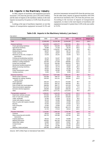### 3-6. Imports in the Machinery Industry

In 2002, imports of machinery and equipment (yen base) increased 1.2% from the previous year to ¥13,434.3 billion, and the share of imports in the machinery industry in the total imports increased by 0.6 points to 31.8% from the previous year.

Looking at the type of machinery imported, we see that imports of transportation equipment increased 22.3% and precision instruments increased 0.6% from the previous year. On the other hand, imports of general machinery fell 0.9% and electrical machinery fell 1.3% from the previous year. According to the increase of imports of transportation equipment, its share in the total imports of machinery and equipment increased 2.2 points from 11.0% in the year earlier to 13.2%.

| [million yen]<br>[ by sector ]                       |            |            |            |           |            |
|------------------------------------------------------|------------|------------|------------|-----------|------------|
| Sector                                               | 2000       | 2001       | 2002       | 02/01 (%) | Weight (%) |
| Total                                                | 12,928,049 | 13,218,798 | 13,434,300 | 101.6     | 100.0      |
| General machinery                                    | 4,514,934  | 4,622,477  | 4,582,626  | 99.1      | 34.1       |
| Power generating machinery                           | 426,672    | 510,294    | 562,036    | 110.1     | 4.2        |
| Agricultural machinery                               | 29,988     | 37,100     | 39,145     | 105.5     | 0.3        |
| Office machines                                      | 2,904,233  | 2,764,027  | 2,697,546  | 97.6      | 20.1       |
| Metalworking machinery                               | 88,970     | 76,815     | 88,770     | 115.6     | 0.7        |
| Textile machines                                     | 22,831     | 26,837     | 30,302     | 112.9     | 0.2        |
| Machinery for the mfrs. of paper of<br>pulp articles | 14,319     | 25,142     | 15,440     | 61.4      | 0.1        |
| Printing and bookbinding machines                    | 42,276     | 54,447     | 50,263     | 92.3      | 0.4        |
| Construction and mining machinery                    | 30,595     | 32,013     | 40,397     | 126.2     | 0.3        |
| Heating or cooling equipment                         | 118,353    | 177,549    | 198,856    | 112.0     | 1.5        |
| Pumps and centrifuges                                | 176,238    | 199,306    | 209,830    | 105.3     | 1.6        |
| Mechanical handling equipment                        | 38,903     | 50,272     | 46,918     | 93.3      | 0.3        |
| Plastic processing machinery                         | 19,860     | 25,776     | 34,862     | 135.2     | 0.3        |
| <b>Bearings</b>                                      | 46,613     | 46,251     | 44,158     | 95.5      | 0.3        |
| Power transmissions, gears                           | 52,056     | 60,295     | 67,686     | 112.3     | 0.5        |
| Vending machines                                     | 8,455      | 6,251      | 8,539      | 136.6     | 0.1        |
|                                                      |            |            |            |           |            |
| <b>Electrical machinery</b>                          | 5,813,327  | 5,877,964  | 5,802,241  | 98.7      | 43.2       |
| Electric power machinery                             | 419,398    | 438,737    | 428,969    | 97.8      | 3.2        |
| Apparatus for making, breaking<br>electric circuits  | 235,020    | 241,131    | 245,954    | 102.0     | 1.8        |
| Visual apparatus                                     | 330.324    | 420,173    | 372,694    | 88.7      | 2.8        |
| Audio apparatus                                      | 279,324    | 305,737    | 303,059    | 99.1      | 2.3        |
| Parts of audio and visual apparatus                  | 288,836    | 366,777    | 413,129    | 112.6     | 3.1        |
| Telecommunications apparatus                         | 571,673    | 531,330    | 411,505    | 77.4      | 3.1        |
| Domestic electrical apparatus                        | 158,858    | 202,884    | 258,446    | 127.4     | 1.9        |
| Other                                                | 3,456,551  | 3,277,731  | 3,212,642  | 98.0      | 23.9       |
| Transportation equipment                             | 1,456,921  | 1,449,253  | 1,772,642  | 122.3     | 13.2       |
| Road motor vehicles excl.pars                        | 767,904    | 781,392    | 803,760    | 102.9     | 6.0        |
| Parts of road motor vehicles                         | 220,049    | 257,646    | 319,640    | 124.1     | 2.4        |
| Trailer, semitrailer                                 | 10,393     | 13,289     | 12,707     | 95.6      | 0.1        |
| Cycles with engines mounted                          | 26,133     | 32,460     | 38,809     | 119.6     | 0.3        |
| Parts of cycles with engines mounted                 | 10,949     | 14,039     | 14,300     | 101.9     | 0.1        |
| <b>Bicycles</b>                                      | 44,240     | 51,023     | 57,030     | 111.8     | 0.4        |
| Parts of bicycles                                    | 13,463     | 14,094     | 12,275     | 87.1      | 0.1        |
| Airclaft                                             | 323,258    | 239,253    | 461,175    | 192.8     | 3.4        |
| Ships                                                | 21,723     | 27,013     | 33,512     | 124.1     | 0.2        |
| <b>Precision instruments</b>                         | 1,142,867  | 1,269,104  | 1,276,790  | 100.6     | 9.5        |
| Cameras                                              | 58,523     | 51,265     | 37,444     | 73.0      | 0.3        |
| Meter, measuring and scientific                      | 136,735    | 135,368    | 130,766    | 96.6      | 1.0        |
| instruments                                          |            |            |            |           |            |
| Copying apparatus                                    | 66,513     | 87,145     | 63,989     | 73.4      | 0.5        |
| <b>Medical instruments</b>                           | 328,002    | 404,100    | 413,830    | 102.4     | 3.1        |
| Optical fiber cables                                 | 24,900     | 33,023     | 22,567     | 68.3      | 0.2        |
| <b>Contact lenses</b>                                | 38,776     | 54,617     | 54,799     | 100.3     | 0.4        |
| Laser                                                | 21,600     | 32,788     | 37,552     | 114.5     | 0.3        |
| Watches, clocks and parts                            | 185,260    | 200,326    | 210,354    | 105.0     | 1.6        |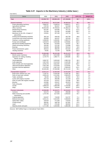| by sector ]                                          |             |             |             |             | [thousand dollar] |
|------------------------------------------------------|-------------|-------------|-------------|-------------|-------------------|
| Sector                                               | 2000        | 2001        | 2002        | $02/01$ (%) | Weight (%)        |
| <b>Total</b>                                         | 119,892,725 | 108,864,436 | 107,438,866 | 98.7        | 100.0             |
|                                                      |             |             |             |             |                   |
| General machinery                                    | 41,873,612  | 38,072,694  | 36,569,543  | 96.1        | 34.0              |
| Power generating machinery                           | 3,958,247   | 4,199,514   | 4,499,571   | 107.1       | 4.2               |
| Agricultural machinery                               | 278,702     | 304,917     | 312,048     | 111.5       | 0.3               |
| Office machines                                      | 26,934,030  | 22,769,810  | 21,488,312  | 94.4        | 20.0              |
| Metalworking machinery                               | 822,387     | 634,956     | 707,731     | 111.5       | 0.7               |
| Textile machines                                     | 211,546     | 221,282     | 242,806     | 109.7       | 0.2               |
| Machinery for the mfrs. of paper of<br>pulp articles | 132,801     | 207,195     | 122,734     | 59.2        | 0.1               |
| Printing and bookbinding machines                    | 392,118     | 448,263     | 402,758     | 89.8        | 0.4               |
| Construction and mining machinery                    | 283,805     | 263,437     | 323,204     | 122.7       | 0.3               |
| Heating or cooling equipment                         | 1,098,650   | 1,459,991   | 1,585,273   | 108.6       | 1.5               |
| Pumps and centrifuges                                | 1,634,874   | 1,640,466   | 1,678,891   | 102.3       | 1.6               |
| Mechanical handling equipment                        | 361,038     | 413,564     | 375,027     | 90.7        | 0.3               |
| Plastic processing machinery                         | 184,492     | 212,192     | 276,986     | 130.5       | 0.3               |
| Bearings                                             | 432,632     | 380,995     | 353,523     | 92.8        | 0.3               |
| Power transmissions, gears                           | 483,012     | 496,025     | 542,402     | 109.3       | 0.5               |
| Vending machines                                     | 78,581      | 51,430      | 68,039      | 132.3       | 0.1               |
| Electrical machinery                                 | 53,900,999  | 48,423,208  | 46,421,675  | 95.9        | 43.2              |
| Electric power machinery                             | 3,891,228   | 3,612,589   | 3,430,998   | 95.0        | 3.2               |
| Apparatus for making, breaking<br>electric circuits  | 2,179,770   | 1,985,771   | 1,969,885   | 99.2        | 1.8               |
| Visual apparatus                                     | 3,060,797   | 3,455,640   | 2,982,218   | 86.3        | 2.8               |
| Audio apparatus                                      | 2,587,293   | 2,513,033   | 2,420,180   | 96.3        | 2.3               |
| Parts of audio and visual apparatus                  | 2,676,176   | 3,021,067   | 3,313,557   | 109.7       | 3.1               |
| Telecommunications apparatus                         | 5,307,169   | 4,370,463   | 3,278,461   | 75.0        | 3.1               |
| Domestic electrical apparatus                        | 1,473,618   | 1,667,219   | 2,069,043   | 124.1       | 1.9               |
| Other                                                | 32,045,406  | 27,030,588  | 25,712,154  | 95.1        | 23.9              |
| Transportation equipment                             | 13,521,217  | 11,924,463  | 14,231,025  | 119.3       | 13.2              |
| Road motor vehicles excl. pars                       | 7,128,747   | 6,429,284   | 6,439,736   | 100.2       | 6.0               |
| Parts of road motor vehicles                         | 2,040,125   | 2,121,081   | 2,563,976   | 120.9       | 2.4               |
| Trailer, semitrailer                                 | 96,420      | 109,146     | 101,825     | 93.3        | 0.1               |
| Cycles with engines mounted                          | 242,716     | 266,596     | 311,429     | 116.8       | 0.3               |
| Parts of cycles with engines mounted                 | 101,529     | 115,527     | 114,365     | 99.0        | 0.1               |
| <b>Bicycles</b>                                      | 410,982     | 419,427     | 452,879     | 108.0       | 0.4               |
| Parts of bicycles                                    | 124,958     | 116,235     | 97,639      | 84.0        | 0.1               |
| Airclaft                                             | 2,999,018   | 1,969,468   | 3,728,460   | 189.3       | 3.5               |
| Ships                                                | 202,324     | 220,644     | 266,507     | 120.8       | 0.2               |
| <b>Precision instruments</b>                         | 10,596,896  | 10,444,071  | 10,216,622  | 97.8        | 9.5               |
| Cameras                                              | 542,372     | 422,606     | 298,366     | 70.6        | 0.3               |
| Meter, measuring and scientific<br>instruments       | 1,270,765   | 1117,003    | 1,046,632   | 93.7        | 1.0               |
| Copying apparatus                                    | 616,927     | 718,083     | 510,707     | 71.1        | 0.5               |
| Medical instruments                                  | 3,042,121   | 3,322,605   | 3,308,653   | 99.6        | 3.1               |
| Optical fiber cables                                 | 230,504     | 271,948     | 179,553     | 66.0        | 0.2               |
| Contact lenses                                       | 359,491     | 448,709     | 437,901     | 97.6        | 0.4               |
| Laser                                                | 200,276     | 270,166     | 300,554     | 111.2       | 0.3               |
| Watches, clocks and parts                            | 1,717,290   | 1,645,956   | 1,686,399   | 102.5       | 1.6               |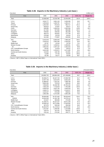| [by area]                    |            |            |            |           | [ million yen ] |
|------------------------------|------------|------------|------------|-----------|-----------------|
| Area                         | 2000       | 2001       | 2002       | 02/01 (%) | Weight (%)      |
| Total                        | 12,928,049 | 13,218,798 | 13,434,300 | 101.6     | 100.0           |
| <b>U.S.A.</b>                | 3,816,777  | 3,661,134  | 3,459,206  | 94.5      | 25.7            |
| Taiwan                       | 1,553,818  | 1,093,787  | 1,065,127  | 97.4      | 7.9             |
| R.Korea                      | 1,281,532  | 872.613    | 882.717    | 101.2     | 6.6             |
| Hong Kong                    | 933.814    | 87,847     | 80.077     | 91.2      | 0.6             |
| China                        | 846.690    | 2,000,524  | 2,592,038  | 129.6     | 19.3            |
| Germany                      | 817.562    | 937,983    | 969,388    | 103.3     | 7.2             |
| Singapore                    | 539,662    | 439.402    | 381,538    | 86.8      | 2.8             |
| U.Kingdom                    | 484.474    | 333,822    | 277,759    | 83.2      | 2.1             |
| Netherlands                  | 476,948    | 82,019     | 80,024     | 97.6      | 0.6             |
| Malaysia                     | 321,583    | 773,857    | 626,094    | 80.9      | 4.7             |
| Asia                         | 6,423,078  | 6,655,033  | 7,068,183  | 106.2     | 52.6            |
| <b>ASEAN</b>                 | 2,545,975  | 2,581,040  | 2,426,252  | 94.0      | 18.1            |
| <b>Middle East</b>           | 33.787     | 44.344     | 33.763     | 76.1      | 0.3             |
| Western Europe               | 2,300,144  | 2,456,911  | 2,458,461  | 100.1     | 18.3            |
| EU                           | 2,081,031  | 2,207,137  | 2,202,415  | 99.8      | 16.4            |
| CIS . Central/Eastern Europe | 50,441     | 61,878     | 56,512     | 91.3      | 0.4             |
| North America                | 3,924,355  | 3,782,872  | 3,571,483  | 94.4      | 26.6            |
| Central and South America    | 142,554    | 146,749    | 152,961    | 104.2     | 1.1             |
| Africa                       | 12,906     | 37,734     | 62,632     | 166.0     | 0.5             |
| Oceania                      | 40,784     | 33,277     | 29,530     | 88.7      | 0.2             |

### **Table 3-28. Imports in the Machinery Industry ( yen base )**

( Source ) METI [ White Paper on International Trade 2003 ]

# **Table 3-29. Imports in the Machinery Industry ( dollar base )**

| by area ]                    |             |              |             |           | thousand dollar ] |
|------------------------------|-------------|--------------|-------------|-----------|-------------------|
| Area                         | 2000        | 2001         | 2002        | 02/01 (%) | Weight (%)        |
| Total                        | 119,892,725 | 108,864,436  | 107,438,866 | 98.7      | 100.0             |
| <b>U.S.A.</b>                | 35,396,471  | 30, 167, 724 | 27,659,799  | 91.7      | 25.7              |
| Taiwan                       | 14,407,728  | 9,014,976    | 8,502,344   | 94.3      | 7.9               |
| R.Korea                      | 11,888,637  | 7,191,231    | 7,068,769   | 98.3      | 6.6               |
| Hong Kong                    | 8,663,183   | 723,215      | 639,163     | 88.4      | 0.6               |
| China                        | 7,856,835   | 16,446,785   | 20,760,150  | 126.2     | 19.3              |
| Germany                      | 7,582,228   | 7,718,919    | 7,765,486   | 100.6     | 7.2               |
| Singapore                    | 5,000,018   | 3,622,745    | 3,045,018   | 84.1      | 2.8               |
| U.Kingdom                    | 4,493,171   | 2,754,664    | 2,219,217   | 80.6      | 2.1               |
| Netherlands                  | 4,423,107   | 675,258      | 638,012     | 94.5      | 0.6               |
| Malaysia                     | 2,982,490   | 6,373,384    | 4,993,189   | 78.3      | 4.6               |
| Asia                         | 59,565,993  | 54,797,404   | 56,525,643  | 103.2     | 52.6              |
| ASEAN                        | 23,604,939  | 21,262,798   | 19,379,112  | 91.1      | 18.0              |
| Middle East                  | 313,647     | 365,906      | 270,405     | 73.9      | 0.3               |
| Western Europe               | 21,336,371  | 20,227,227   | 19,671,249  | 97.3      | 18.3              |
| EU                           | 19,306,415  | 18,172,856   | 17,620,045  | 97.0      | 16.4              |
| CIS • Central/Eastern Europe | 467,076     | 509,340      | 456,036     | 89.5      | 0.4               |
| North America                | 36,364,975  | 31,170,814   | 28,553,462  | 91.6      | 26.6              |
| Central and South America    | 1,321,057   | 1,208,482    | 1,215,689   | 100.6     | 1.1               |
| Africa                       | 145,474     | 311,101      | 503,207     | 161.8     | 0.5               |
| Oceania                      | 378,132     | 274,162      | 236,777     | 86.4      | 0.2               |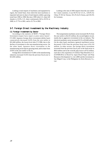Looking at total imports of machinery and equipment by region, the United State, from which the most machinery is imported, had seen its share of total imports exhibit a growing trend from 1996 to 1998. But since 1999 when U.S. share fell sharply to 33.9%, U.S. share continuously fell to 29.5% in 2000, to 27.7% in 2001, and to 25.7% in 2002.

Looking at the ratio of 2002 imports from the year earlier for 5 main countries, it was 94.5% for U.S.A., 129.6% for China, 97.4% for Taiwan, 101.2% for R. Korea, and 103.3% for Germany.

### 3-7. Foreign Direct Investment by the Machinery Industry

### (1) Foreign Investment by Sector

According to the statistics of MOF's "Foreign Direct Investment (export facto report or prior notice basis)", F.Y.2001 Japanese foreign direct investment (dollar base) consecutively decreased 34.9% from the year earlier to \$31,660 million, the lowest level after F.Y.1986, due to the decline of investment in the non-manufacturing sector. On the other hand, Japanese direct investment in the manufacturing sector kept its growing trend, and its share from 24.0% in the year earlier to 44.1%.

Foreign direct investment in F.Y.2001 in the manufacturing industries increased 19.4% from the previous fiscal year to \$13,945 million.

The transportation machinery sector increased 38.2% from the year earlier to \$4,335 million, the second highest record, mainly due to aggressive investment in the car industry. The electrical machinery sector increased 20.1% to \$3,660 million. On the other hand, machinery (general machinery) sector decreased 13.6% from the previous fiscal year to \$1,219 million. In other sectors, the foreign direct investment increased from the previous fiscal year in the food sector to \$819 million and in the wood & pulp sector to \$732 million, each due to the acquisition of Celulose Nipo-Brasileira S.A. (CENIBURA) in Brazil by Japan Brazil Paper and Pulp Resources Development Co. Ltd. (JBP) and the investment to San Miguel Corp. in the Philippines by Kirin Brewery Co., Ltd.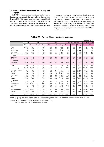### (2) Foreign Direct Investment by Country and Region

In F.Y.2001 Japanese direct investment (dollar base) in England, the top nation in the year earlier for the first time, decreased 79.3% from the previous fiscal year to \$3,960 million. As a result, U.S.A. again took the top position of the countries for Japanese direct investment. And Cayman (\$4.996 million), Netherlands (\$4.560 million) and England followed.

Japanese direct investment in East Asia slightly increased 3.8% to \$5,929 million, and the direct investment in ASEAN4 increased 15.7% from the previous fiscal year to \$2,353 million, the first increase after 1998 when it turned downwards affected by Asian currency crisis. In ASEAN4, Philippines marked the record of \$756 million, an increase of 65.2% from the previous fiscal year, due to the investment to San Miguel by Kirin Brewery.

|                                |           |        |        |        |        |        |         |                |                       |                          |         | million dollar, %)           |  |
|--------------------------------|-----------|--------|--------|--------|--------|--------|---------|----------------|-----------------------|--------------------------|---------|------------------------------|--|
|                                | F.Y. 1999 |        | 2000   |        |        | 2001   |         |                | 2002 (The first half) |                          |         | <b>Total (1951)</b><br>2001) |  |
|                                | Volume    | Volume | Weight | Change | Volume | Weight | Change  | Volume         | Weight                | Change                   | Volume  | Weight                       |  |
| Food                           | 14,908    | 257    | 0.5    | 98.3   | 819    | 2.6    | 218.6   | 108            | 0.6                   | 33.3                     | 26,777  | 3.3                          |  |
| <b>Textiles</b>                | 260       | 222    | 0.5    | 14.5   | 203    | 0.6    | 8.7     | 118            | 0.7                   | 48.4                     | 9.817   | 1.2                          |  |
| Wood & pulp                    | 115       | 147    | 0.3    | 27.5   | 732    | 2.3    | 397.6   | 36             | 0.2                   | 95.0                     | 7,206   | 0.9                          |  |
| Chemicals                      | 1.694     | 1,916  | 3.9    | 13.1   | 1,492  | 4.7    | 22.1    | 679            | 4.0                   | 1.6                      | 33,477  | 4.2                          |  |
| Ferrous / non-ferrous<br>metal | 1,458     | 706    | 1.5    | 51.5   | 635    | 2.0    | 10.1    | 273            | 1.6                   | 20.8                     | 23,269  | 2.9                          |  |
| Machinery                      | 995       | 1.411  | 2.9    | 41.8   | 1,219  | 3.9    | 13.6    | 523            | 3.1                   | 16.8                     | 22,132  | 2.8                          |  |
| Electrical<br>machinery        | 16,350    | 3,047  | 6.3    | 81.4   | 3,660  | 11.6   | 20.1    | 910            | 5.4                   | 47.5                     | 74,928  | 9.3                          |  |
| Transportation<br>machinery    | 4,781     | 3,138  | 6.5    | 34.4   | 4,335  | 13.7   | 38.2    | 3,452          | 20.4                  | 20.6                     | 39,680  | 4.9                          |  |
| Other                          | 1,749     | 837    | 1.7    | 52.1   | 849    | 2.7    | 1.4     | 783            | 4.6                   | 182.2                    | 30,303  | 3.8                          |  |
| Manufacturing                  | 42,310    | 11,682 | 24.0   | 72.4   | 13,945 | 44.1   | 19.4    | 6,882          | 40.7                  | 6.9                      | 267,589 | 33.3                         |  |
|                                |           |        |        |        |        |        |         |                |                       |                          |         |                              |  |
| Agriculture, forestry          | 80        | 27     | 0.1    | 65.9   | 34     | 0.1    | 24.1    | $\overline{2}$ | 0.0                   | 75.2                     | 2,509   | 0.3                          |  |
| <b>Fisheries</b>               | 26        | 132    | 0.3    | 406.8  | 27     | 0.1    | 79.3    | 35             | 0.2                   | 4,167.9                  | 1,638   | 0.2                          |  |
| Mining                         | 921       | 641    | 1.3    | 30.5   | 479    | 1.5    | 25.2    | 260            | 1.5                   | 25.3                     | 28,473  | 3.5                          |  |
| Construction                   | 182       | 91     | 0.2    | 50.1   | 65     | 0.2    | 28.4    | 30             | 0.2                   | 93.3                     | 5.789   | 0.7                          |  |
| Retail                         | 3,876     | 3.344  | 6.9    | 13.7   | 2,577  | 8.2    | 22.9    | 1,020          | 6.0                   | 15.7                     | 77,825  | 9.7                          |  |
| Finance,<br>insurance          | 9,885     | 8,405  | 17.3   | 15.0   | 10,752 | 34.0   | 27.9    | 5,845          | 34.6                  | 118.4                    | 158,400 | 19.7                         |  |
| Services                       | 4,314     | 1.760  | 3.6    | 59.2   | 1.550  | 4.9    | 11.9    | 652            | 3.9                   | 1.5                      | 87,549  | 10.9                         |  |
| Transportation                 | 2,772     | 21,880 | 45.0   | 689.5  | 1,340  | 4.2    | 93.9    | 644            | 3.8                   | 27.7                     | 60,728  | 7.5                          |  |
| Real estate                    | 2,114     | 364    | 0.8    | 82.8   | 525    | 1.7    | 44.2    | 1,252          | 7.4                   | 460.3                    | 94,671  | 11.8                         |  |
| Other                          | 8         | 2      | 0.0    | 75.4   | 26     | 0.1    | 1,224.5 | 25             | 0.1                   | $\overline{\phantom{0}}$ | 8,237   | 1                            |  |
| Non-manufacturing              | 24,178    | 36,647 | 75.4   | 51.6   | 17,377 | 55.0   | 52.6    | 9,765          | 57.8                  | 61.8                     | 525,819 | 65.4                         |  |
| <b>Branches</b>                | 206       | 251    | 0.5    | 22.0   | 283    | 0.9    | 13.1    | 253            | 1.5                   | 5.6                      | 10,242  | 1.3                          |  |
| Total                          | 66,694    | 48,580 | 100.0  | 27.2   | 31,606 | 100.0  | 34.9    | 16,901         | 100.0                 | 23.4                     | 804,614 | 100.0                        |  |

### **Table 3-30. Foreign Direct Investment by Sector**

(Notes) 1. Original data were reported in yen by MOF, and the above figures were converted on the basis of the Bank of Japan's inter-bank rate. 2. Growth rate is in comparison to the same period a year earlier.

(Source) JETRO [ White Paper on Trade and Foreign Direct Investment 2003 ]

( Original source data : MOF [ Foreign Direct Investment ] )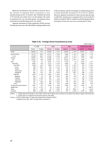Malaysia and Indonesia also marked an increase due to the increase of Japanese direct investment in nonmanufacturing sectors. In Asean4, only Thailand decreased 5.7% from the year earlier, but it was becoming to the center of production for cars and white goods, and Japanese direct investment in manufacturing sector was steady.

Japanese investment in China registered a 44.8% increase from the previous year to \$1,440 million, keeping healthy trend of the investment, and the investment in manufacturing sector in China drastically increased 67.1% to \$1,271 million. However Japanese investment in China was less than the total in ASEAN4. And because it remained still so far from \$4,473 million recorded in 1995, it couldn't be said that Japanese direct investment in East Asia was over-concentrated in China.

|                           |          |        |        |        |        |        |                       | (million dollar, %) |
|---------------------------|----------|--------|--------|--------|--------|--------|-----------------------|---------------------|
|                           | F.Y.1999 |        | 2000   |        | 2001   |        | 2002 (the first half) |                     |
|                           | Volume   | Change | Volume | Change | Volume | Change | Volume                | Change              |
| World                     | 66,694   | 63.7   | 48,580 | 27.2   | 31,606 | 34.9   | 16,901                | 23.4                |
| North America             | 24,770   | 126.3  | 12,271 | 50.5   | 6,458  | 47.4   | 3,108                 | 3.6                 |
| U.S.A.                    | 22,296   | 116.1  | 12,136 | 45.6   | 6,370  | 47.5   | 3,090                 | 1.6                 |
| Europe                    | 25,804   | 84.2   | 24,406 | 5.4    | 10,571 | 56.7   | 7,743                 | 55.9                |
| EU                        | 25,191   | 81.9   | 23,909 | 5.1    | 10,226 | 57.2   | 7,546                 |                     |
| Asia                      | 7,162    | 9.7    | 5,931  | 17.2   | 6,178  | 4.2    | 2,576                 | 6.7                 |
| East Asia                 | 6,825    | 10.6   | 5,711  | 16.3   | 5,929  | 3.8    | 2,359                 | 11.4                |
| Asia NIES                 | 3,198    | 81.2   | 2,682  | 16.1   | 2,135  | 20.4   | 876                   | 13.4                |
| Korea                     | 980      | 223.7  | 813    | 17.0   | 543    | 33.2   | 318                   | 10.4                |
| Taiwan                    | 285      | 27.4   | 510    | 78.6   | 319    | 37.4   | 145                   | 0.2                 |
| Hong Kong                 | 971      | 61.3   | 936    | 3.6    | 296    | 68.4   | 123                   | 33.5                |
| Singapore                 | 962      | 51.2   | 424    | 56.0   | 977    | 130.7  | 288                   | 31.0                |
| ASEAN4                    | 2,876    | 13.9   | 2,035  | 29.3   | 2,353  | 15.7   | 564                   | 37.3                |
| Malaysia                  | 526      | 2.2    | 232    | 55.9   | 256    | 10.3   | 46                    | 55.5                |
| Thailand                  | 816      | 40.5   | 931    | 14.2   | 881    | 5.4    | 283                   | 44.8                |
| Indonesia                 | 918      | 14.7   | 414    | 54.9   | 461    | 11.3   | 130                   | 32.1                |
| Philippines               | 617      | 62.8   | 458    | 25.8   | 756    | 65.2   | 106                   | 13.2                |
| China                     | 751      | 29.5   | 995    | 32.4   | 1,440  | 44.8   | 919                   | 22.3                |
| Central and South America | 7,437    | 15.1   | 5,232  | 29.6   | 7,658  | 46.4   | 2,345                 | 4.5                 |
| <b>Middle East</b>        | 113      | 22.7   | 19     | 83.4   | 20     | 7.5    | 14                    | 1,587.3             |
| Africa                    | 515      | 15.8   | 53     | 89.6   | 193    | 260.6  | 41                    | 66.9                |
| Oceania                   | 893      | 59.6   | 667    | 25.4   | 527    | 20.9   | 1,074                 | 182.8               |

### **Table 3-31. Foreign Direct Investment by Area**

( Notes ) 1. Original data were reported in yen by MOF, and the above figures were converted on the basis of the Bank of Japan's inter-bank rate. 2. Growth rate is in comparison to the same period a year earlier.

( Source ) JETRO [ White Paper on Trade and Foreign Direct Investment 2003 ]

( Original source data : MOF [ Foreign Direct Investment ] )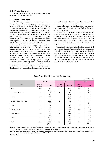### 3-8. Plant Exports

According to METI survey, actual contracts for overseas plants for F.Y.2002 are as follows.

### (1) General Conditions

In F.Y.2002, the contract amount of the construction of foreign plants and engineering by Japanese corporations increased 12.3% from the previous fiscal year to \$13.97 billion.

Looking at plant exports by region, the top market was Asia (the share was 45.3% for the total contract amount), and Middle East (17.6%), Africa (12.0%) followed. The contract amount for Asia and Middle East marked about 50% of the total. Taiwan (\$2.15 billion), China (\$1.85 billion) and Indonesia (\$0.52 billion) were top 3 nations or territory for plant exports in Asia. UAE (\$0.93 billion) and Saudi Arabia (\$0.48 billion) were top two nations in Middle East.

By sector, the general plants, energy plants, transportation infrastructure, plants connected with life and environment, information/communication plants, general plants sectors increased their contract amounts from the previous fiscal year, while the sectors of generating plants and chemical plants decreased their contracts. Looking at the sectors where contracts increased, in the sector of transportation infrastructure the contract for super project (a project exceeding \$100 million) of high speed railway project) pushed up the total amount, and in the sector of the plant connected with life and environment, where the super projects of desalination were contracted, medium and small size projects

(projects less than \$100 million) were also increased and led to an increase of total amount of the contracts.

In generating plant sector and chemical plant sector the contract amounts decreased as a backlash to the steady activities since 2000.

In "other" sector, the amount of contracts for big projects exceeding \$100 million increased only 0.2% from the previous fiscal year, on the other hand, the amount of contracts of medium and small size projects (projects less than \$100 million) increased 36.4% from the previous fiscal year, and as result they contributed to the increase of the total amount of the contracts.

The main driving factors for healthy plants export in 2002 were steady demands for plants in the oil producing nations in Middle East and increasing contracts for energy plants due to growing demands for LNG in the world, the contracts of high speed railway project and big projects connected with life and environment in Taiwan, and increasing contracts due to the successful repeat orders as the result of concentration of sales activities for selected targets.

|                           |                     |                  |                     |                  |                            | (100 million dollar) |
|---------------------------|---------------------|------------------|---------------------|------------------|----------------------------|----------------------|
|                           | F.Y. 2000           |                  | F.Y. 2001           |                  |                            | F.Y. 2002            |
| Area                      | Number<br>of plants | Volume           | Number<br>of plants | Volume           | <b>Number</b><br>of plants | Volume               |
| Asia                      | 289                 | 77.9<br>(50.7)   | 290                 | 55.1<br>(44.3)   | 498                        | 63.2<br>(45.3)       |
| Middle and Near East      | 42                  | 9.1<br>(5.9)     | 40                  | 20.5<br>(16.4)   | 75                         | 24.5<br>(17.6)       |
| Africa                    | 20                  | 11.3<br>(7.3)    | 19                  | 18.7<br>(15.0)   | 45                         | 16.7<br>(12.0)       |
| Central and South America | 79                  | 16.8<br>(11.0)   | 55                  | 4.9<br>(3.9)     | 63                         | 7.7<br>(5.5)         |
| Oceania                   | 9                   | 3.2<br>(2.1)     | 8                   | 5.0<br>(4.0)     | $\overline{4}$             | 0.2<br>(0.2)         |
| Western Europe            | 65                  | 10.8<br>(7.0)    | 103                 | 4.9<br>(4.0)     | 108                        | 5.9<br>(4.3)         |
| North America             | 109                 | 10.9<br>(7.1)    | 78                  | 10.5<br>(8.5)    | 68                         | 12.2<br>(8.8)        |
| Other                     | 21                  | 13.8<br>(8.9)    | 50                  | 4.8<br>(3.9)     | 52                         | 9.0<br>(6.5)         |
| Total                     | 634                 | 153.7<br>(100.0) | 643                 | 124.4<br>(100.0) | 913                        | 139.7<br>(100.0)     |

#### **Table 3-32. Plant Exports (by Destination)**

(Note 1) The survey basis was modified to include the service contracts unaccompanied with machineries or equipment exports such as by general constructers. And the past data were also revised by this new basis.

(Note 2) Each case is a contract for heavy machinery and related service valued at more than \$500,000 excluding transportation equipment. The number in parentheses represents the share of the total.

(Source) METI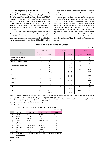### (2) Plant Exports by Destination

Looking at the actual contracts for overseas plants by destination in F.Y.2002, for Asia, Middle East, Central and South America, North America, Western Europe, and "Other" (former Soviet Union, such as Russia), the amount of contracts increased, and for Africa and Oceania it decreased. The contract amount of plants export for Middle East, one of the main markets as well as Asia for Japanese enterprises, recorded the increase of four consecutive years, and marked the highest since1997.

Looking at the share of each region in the total amount of the contracts by Japanese companies, in 2002 fiscal year, Asia was 45.3% in share, and kept continuously the position of the most important market for Japanese companies. Middle East region once decreased its share during 1998 and 2000 to 5 or

6% level, and thereafter had increased to the level of late-teen percents by recovered demands in the oil producing countries in the region.

Looking at the actual contracts amount for export plants by region, total contracts amount in Asia was \$6.32 billion, in Middle East \$2.45 billion, in Africa \$1.67 billion and in North America \$1.22 billion. The amount in those four regions shared about 80% of all plants export. By the number of contracts, the number was 498 in Asia, 108 in Western Europe 108 and 75 in Middle East, and total number of contracts in those 3 regions shared about 70% in the total contracts of plants export. The fact that plants export for Asia stood out from all others by both of the amount and the number of contracts, shows the strategic significance of the region of Asia for Japanese plants export.

(million dollar)

| $\frac{1}{2}$                 |                     |           |                            |         |                            |           |
|-------------------------------|---------------------|-----------|----------------------------|---------|----------------------------|-----------|
|                               |                     | F.Y. 2000 | F.Y. 2001                  |         |                            | F.Y. 2002 |
| Sector                        | Number<br>of plants | Volume    | <b>Number</b><br>of plants | Volume  | <b>Number</b><br>of plants | Volume    |
| Plant connected with life     | 24                  | 1.9       | 14                         | 1.6     | 64                         | 14.4      |
| and environment               |                     | (1.2)     |                            | (1.3)   |                            | (10.3)    |
| Information/communication     | 290                 | 27.5      | 242                        | 8.8     | 283                        | 9.3       |
|                               |                     | (17.9)    |                            | (7.1)   |                            | (6.6)     |
| Transportation infrastructure | 9                   | 36.6      | 18                         | 6.8     | 32                         | 26.8      |
|                               |                     | (23.8)    |                            | (5.5)   |                            | (19.2)    |
| Energy                        | 19                  | 37.7      | 28                         | 30.8    | 48                         | 31.3      |
|                               |                     | (24.5)    |                            | (24.7)  |                            | (22.4)    |
| Generating                    | 133                 | 29.0      | 142                        | 45.4    | 174                        | 25.4      |
|                               |                     | (18.9)    |                            | (36.5)  |                            | (18.2)    |
| Chemical                      | 35                  | 11.2      | 62                         | 22.8    | 84                         | 18.5      |
|                               |                     | (7.3)     |                            | (18.3)  |                            | (13.3)    |
| Steel                         | 42                  | 4.7       | 41                         | 3.3     | 67                         | 6.2       |
|                               |                     | (3.1)     |                            | (2.6)   |                            | (4.4)     |
| Other                         | 82                  | 5.1       | 96                         | 4.9     | 161                        | 7.8       |
|                               |                     | (3.3)     |                            | (4.0)   |                            | (5.6)     |
| Total                         | 634                 | 153.7     | 643                        | 124.4   | 913                        | 139.7     |
|                               |                     | (100.0)   |                            | (100.0) |                            | (100.0)   |

### **Table 3-33. Plant Exports (by Sector)**

(Note 1) The survey basis was modified to include the service contracts unaccompanied with machineries or equipment exports such as by general constructers. And the past data were also revised by this new basis.

(Note 2) Each case is a contract for heavy machinery and related service valued at more than \$500,000 excluding transportation equipment. The number in parentheses represents the share of the total.

(Note 3) The grouping of sectors was revised from 5 to 8.

(Source) METI

### **Table 3-34. Top 10 in Plant Exports by Volume**

|    |               |              |                             | (million dollar) |
|----|---------------|--------------|-----------------------------|------------------|
|    | F.Y.1999      | F.Y. 2000    | F.Y. 2001                   | Volume           |
| 1  | Taiwan        | Taiwan       | Taiwan                      | 21.5             |
| 2  | Russia        | China        | China                       | 18.5             |
| 3  | <b>U.S.A.</b> | Algeria      | U.S.A.                      | 12.2             |
| 4  | Mexico        | Qatar        | <b>United Arab Emirates</b> | 9.3              |
| 5  | Algeria       | U.S.A.       | Algeria                     | 7.3              |
| 6  | Malaysia      | Libya        | Brazil                      | 5.3              |
| 7  | Turkey        | Saudi Arabia | Indonesia                   | 5.2              |
| 8  | Saudi Arabia  | Singapore    | Saudi Arabia                | 4.8              |
| 9  | China         | Iran         | Nigeria                     | 4.3              |
| 10 | Brazil        | Australia    | Thailand                    | 4.2              |

(Note) By the revised basis, the data include railway vehicles but exclude ships and railway vehicles

(Source) METI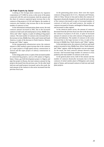### (3) Plant Exports by Sector

Looking at the foreign plant contracts by Japanese corporations in F.Y.2002 by sector, in the sector of the plants connected with life and environment, both the amount and the share of contracts registered great increase due to the contracts of big projects in UAE and Algeria. the number of contracts also marked a big increase due to the increased number of contracts in Asia.

In the information/communication plants sector, the total contracts amount increased in 2002, due to the increased contracts of mid-scale and small projects in Asia, Middle East, Africa and "other" regions, in spite of nothing of big project contract. The total number of contracts also increased due to the increase in Asia, Middle East, Africa and Central and South America, in spite of the decrease in North America, Western Europe and "Other" region.

In the transportation infrastructure sector, the contracts amount in 2002 marked a great increase due to the contracts of 2 super projects of high-speed railway constructions in Taiwan and the super project of subway construction in Singapore.

In the energy plant sector, in spite of the increased number of contracted big projects, such as LNG plants in Nigeria, Qatar, Oman, gas-field development project in Algeria and pipe line project in Russia, the total contracts amount for big projects decreased from the previous year. On the other hand mid-size and small projects increased, and as the result, the total amount of the contracts in the sector increased from the previous fiscal year.

In the generating plant sector, there were the export contracts of big projects for U.S.A., Rumania and Vietnam, while in China, Taiwan in Asia and in others the contracts of big projects drastically dropped. As the result the total amount of the contracts decreased in spite of increased number of contracts of mid-size and small projects. the number of contracts increased in Oceania, unchanged in Western Europe, and increased in other regions.

In the chemical plants sector, the amount of contracts decreased from the previous fiscal year due to the decrease of the contracts of projects of all sizes, in spite of increased amount of contracts in Asia with contracts of big projects in China and Indonesia. The number of contracts in the sector increased due to the large increase in Asia, in spite of the decrease in Middle East, North America and "Other" regions.

In the steel plant sector, the contracts of mid-size and small projects increased in Asia, Middle East, Africa, North America and "Other" regions, while the big project was not contracted. As the result, the total contracts amount showed a large increase. And increased large number of contracts in Asia pushed up the total number of contracts in the sector.

In the general plant sector, both of the amount and the number of contracts drastically increased, due to the big contracts of nickel smelter plant in Philippines and cement plant in Yemen, and increased contracts of mid-size and small plant projects.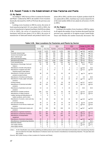### 3-9. Recent Trends in the Establishment of New Factories and Plants

### (1) By Sector

According to "2002 Survey of New Locations for Factories and Plants" conducted by METI, the number of new locations drastically decreased by 24.8% (279) from the previous year to 844.

Looking at new locations in 2002 by sector, the sector of food manufacturing built 161 new plants (169 in 2001), the sector of manufacture of general machinery built 80 new plants (134 in 2002), the sector of manufacture of electrical machinery built 64 new plants (133 in 2001), the sector of manufacture of fabricated metals and products built 62 new

plants (98 in 2001), and the sector of plastic products built 56 new plants (84 in 2001). And these top 5 sectors shared 50.1% of the total number (844) of new plants by all sectors ( 55.0% in 2001).

### (2) By Region

Looking at the number of new locations in 2002 by region, in all regions the number of new locations decreased from the previous year, especially in 10 regions except Coastal Kinki, Sanyo and Shikoku the number drastically decreased. The

|                                                    | 2000         |                | 2001           |                | 2002   |                | Change (%) 2002 / 2001 |           |
|----------------------------------------------------|--------------|----------------|----------------|----------------|--------|----------------|------------------------|-----------|
|                                                    | Number       | Area (ha)      | Number         | Area (ha)      | Number | Area (ha)      | <b>Number</b>          | Area (ha) |
| Total                                              | 1,126        | 1,473          | 1,123          | 1,379          | 844    | 872            | 24.8                   | 36.8      |
| Domestic resource type                             | 336          | 358            | 332            | 383            | 318    | 320            | 4.2                    | 16.4      |
| General merchandise type                           | 176          | 181            | 186            | 165            | 137    | 139            | 26.3                   | 15.8      |
| Basic material type                                | 120          | 156            | 141            | 232            | 103    | 131            | 27.0                   | 43.5      |
| Manufacturing/assembling                           | 478          | 716            | 447            | 556            | 272    | 263            | 39.1                   | 52.7      |
| Manufacturing industry                             | 1,110        | 1,411          | 1,106          | 1,336          | 830    | 853            | 25.0                   | 36.2      |
| Food manufacturing                                 | 172          | 128            | 169            | 153            | 161    | 122            | 4.7                    | 20.3      |
| Manufacture of beverage, food and                  | 39           | 90             | 35             | 53             | 49     | 69             | 40.0                   | 30.2      |
| tobacco                                            |              |                |                |                |        |                |                        |           |
| Manufacture of textile mill products               | 5            | 1              | 5              | 3              | 3      | $\overline{4}$ | 40.0                   | 33.3      |
| Manufacture of apparel and other                   | 14           | 9              | 17             | $\overline{7}$ | 10     | 5              | 41.2                   | 28.6      |
| finished product made fabrics                      |              |                |                |                |        |                |                        |           |
| Manufacture of lumber and wood                     | 38           | 29             | 41             | 62             | 40     | 52             | 2.4                    | 16.1      |
| products except furniture                          |              |                |                |                |        |                |                        |           |
| Manufacture of furniture and fixtures              | 8            | 2              | 11             | 5              | 11     | 8              | 0.0                    | 60.0      |
| Manufacture of pulp, paper and paper<br>products   | 27           | 25             | 32             | 30             | 20     | 20             | 37.5                   | 33.3      |
| Printing industry                                  | 20           | 14             | 35             | 30             | 26     | 13             | 25.7                   | 56.7      |
| Manufacture of chemical and allied<br>products     | 60           | 101            | 75             | 160            | 47     | 80             | 37.3                   | 50.0      |
| Manufacture of petroleum and coal                  | 13           | 12             | 8              | 5              | 10     | 8              | 25.0                   | 60.0      |
| products                                           |              |                |                |                |        |                |                        |           |
| Manufacture of plastic products                    | 105          | 123            | 84             | 82             | 56     | 55             | 33.3                   | 32.9      |
| Manufacture of rubber products                     | 9            | 10             | 16             | 17             | 11     | 23             | 31.3                   | 35.3      |
| Leather tanning and Manufacture of                 | $\mathbf{1}$ | 0              | $\overline{2}$ | 1              |        | ÷,             |                        |           |
| leather products, and fur skins                    |              |                |                |                |        |                |                        |           |
| Manufacture of ceramic, stone and clay<br>products | 55           | 85             | 50             | 82             | 45     | 52             | 10.0                   | 36.6      |
| Iron and steel industry                            | 28           | 27             | 36             | 42             | 34     | 30             | 5.6                    | 28.6      |
| Manufacture of non-ferrous metals and<br>products  | 19           | 16             | 22             | 24             | 12     | 12             | 45.5                   | 50.0      |
| Manufacture of fabricated metals and               | 115          | 102            | 98             | 106            | 62     | 74             | 36.7                   | 69.8      |
| products                                           |              |                |                |                |        |                |                        |           |
| Manufacture of general machinery                   | 114          | 207            | 134            | 89             | 80     | 65             | 40.3                   | 27.0      |
| Manufacture of electrical machinery                | 176          | 283            | 133            | 241            | 64     | 55             | 51.9                   | 77.2      |
| Manufacture of transportation                      | 53           | 115            | 62             | 109            | 51     | 62             | 17.7                   | 43.1      |
| equipment                                          |              |                |                |                |        |                |                        |           |
| Manufacture of precision instruments               | 20           | 9              | 20             | 12             | 16     | 9              | 20.0                   | 25.0      |
| Miscellaneous manufacturing industries             | 19           | 23             | 21             | 23             | 22     | 35             | 4.8                    | 52.2      |
| <b>Electricity industry</b>                        | 10           | 48             | 13             | 29             | 11     | 13             | 15.4                   | 55.2      |
| Gas supply industry                                | 5            | 12             | $\overline{4}$ | 14             | 3      | 6              | 25.0                   | 57.1      |
| Heat supply industry                               | $\mathbf{1}$ | $\overline{2}$ |                |                |        |                |                        |           |

**Table 3-35. New Locations for Factories and Plants by Sector**

( Note ) As the Classification was revised, publishing and allied products sector moved to information/communication (non-manufacturing industry) and excruded from the table. Manufacture of ordnance sector was moved to miscellaneous mznufacturing industries. The past deta were also revised.

(Source) METI [2002 Survey on New Locations for Factories and Plants]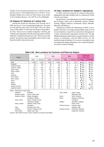number of new locations decreased 67 or 36.0% from the previous year to 119 in Inland Kanto, 63 or 35.6% to 114 in Southern Tohoku, 45 or 29.2% to 109 in Tokai, 28 or 43.8% to 36 in Southern Kyusyu, 24 or 40.7% to 35 in Hokkaido.

### (3) Reasons for Selection of Location Site

Among the reasons for selecting a new location site in 2002, the top was "ease of acquiring enough area," the same as in the previous year, with a 19.1% share. Next was "Short access to the market" (12.6%) and "proximity to head office" (12.2%), "short access to related companies" (10.4%), and "subsidy and cooperation from the local government" (8.8%) followed. Compared to the previous year, "Short access to the market" increased its share and jumped to the second in rank from the fourth in the previous year.

### (4) New Locations for Research Laboratories

In 2002, total new locations for research laboratories independent from other facilities were 15, a decrease of 4 from 19 in the year before.

By prefecture, 2 new laboratories were built in Kanagawa and in Hyogo, and12 each in Hokkaido, Aomori, Miyagi, Tochigi, Niigata, Ishikawa, Yamanashi, Osaka, Shimane, Miyazaki and Okinawa

Among new locations for laboratories in 2002, it was a notable event that a very large technical R&D center over 20 ha was located in a vacant lot of a university in Kanagawa by a major transportation equipment manufacturer, foreign affiliated laboratory (43 hectare) was newly located in a vacant airport in Hokkaido, and the R&D facility for the manufacturing technology of low power consumption type next generation display equipment, one of national projects, was newly located in Miyagi.

| Region                               | 2000                     |           | 2001  |           | 2002           |                  |                     | Change (%)<br>2002 / 2001 |  |
|--------------------------------------|--------------------------|-----------|-------|-----------|----------------|------------------|---------------------|---------------------------|--|
|                                      | Case                     | Area (ha) | Case  | Area (ha) | Case           | Area (ha)        | Case                | Area (ha)                 |  |
| Total                                | 1,126                    | 1,473     | 1,123 | 1,379     | 844            | 872              | 24.8                | 36.8                      |  |
| Hokkaido                             | 66                       | 103       | 59    | 84        | 35             | 47               | 40.7                | 44.0                      |  |
| Northern Tohoku                      | 52                       | 87        | 42    | 52        | 32             | 35               | 23.8                | 32.7                      |  |
| Southern Tohoku                      | 175                      | 244       | 177   | 190       | 114            | 120              | 35.6                | 36.8                      |  |
| Kanto, inland                        | 195                      | 329       | 186   | 350       | 119            | 132              | 36.0                | 62.3                      |  |
| Kanto, coastal                       | 78                       | 78        | 97    | 106       | 78             | 87               | 19.6                | 17.9                      |  |
| Tokai                                | 135                      | 176       | 154   | 213       | 109            | 110              | 29.2                | 48.4                      |  |
| Hokuriku                             | 60                       | 45        | 53    | 49        | 40             | 37               | 24.5                | 24.5                      |  |
| Kinki, inland                        | 37                       | 54        | 35    | 34        | 27             | 29               | 22.9                | 14.7                      |  |
| Kinki, coastal                       | 76                       | 48        | 73    | 62        | 78             | 56               | 6.8                 | 9.7                       |  |
| San-in                               | 14                       | 11        | 10    | 8         | 9              | 11               | 10.0                | 37.5                      |  |
| Sanyo                                | 52                       | 92        | 44    | 49        | 45             | 50               | 2.3                 | 2.0                       |  |
| Shikoku                              | 31                       | 28        | 38    | 55        | 37             | 25               | 2.6                 | 54.5                      |  |
| Northern Kyushu                      | 89                       | 103       | 91    | 83        | 85             | 109              | 6.6                 | 31.3                      |  |
| Southern Kyushu                      | 66                       | 75        | 64    | 44        | 36             | 24               | 43.8                | 45.5                      |  |
| Prefectures in each region<br>(Note) |                          |           |       |           |                |                  |                     |                           |  |
| Hokkaido                             | Hokkaido                 |           |       |           | Kinki, coastal | Osaka, Hyogo,    |                     |                           |  |
| Northern Tohoku<br>$\pm$             | Aomori, Iwate, Akita     |           |       |           |                | Wakayama, Mie    |                     |                           |  |
| Southern Tohoku:                     | Miyagi, Yamagata,        |           |       |           | San-in         | Tottori, Shimane |                     |                           |  |
|                                      | Fukushima, Niigata       |           |       |           | Sanyo          |                  | Okayama, Hiroshima, |                           |  |
| Kanto, inland                        | Ibaraki, Tochigi, Gunma, |           |       |           |                | Yamaguchi        |                     |                           |  |
|                                      |                          |           |       |           | $\sim$         |                  |                     |                           |  |

**Table 3-36. New Locations for Factories and Plants by Region**

Yamanashi, Nagano **Xamana na kata a ta an sana ama na kata a** Shikoku **i Shikoku** i Tokushima, Kagawa, Kanto, coastal : Saitama, Chiba, Tokyo, et al. et al. et al. et al. et al. et al. et al. et al. et al. et al. Kanagawa **Northern Kyusyu : Fukuoka, Saga,** Tokai : Shizuoka, Aichi, Gifu **Nagasaki, Oita** Nagasaki, Oita Hokuriku : Toyama, Ishikawa, Fukui Sumamoto, Niyazaki, Southern Kyushu : Kumamoto, Miyazaki, Kinki, inland : Shiga, Kyoto, Nara Kagoshima, Okinawa Kagoshima, Okinawa

(Source) METI [2002 Survey on New Locations for Factories and Plants]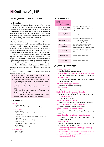# 4 Outline of JMF

### 4-1. Organization and Activities

#### (1) Overview

The Japan Machinery Federation (Nihon Kikai Kougyou Rengokai, or NIKKIREN) is a nationwide organization of the Japanese machinery and engineering industry. Its membership consists of 101 regular members (50 company members of the leading companies in the fields of engineering and machinery manufacturing, and 51 association members of industry-specific trade associations), and 11 supporting members.

The trade associations represent manufacturers from the following industrial areas: general machinery (machine tools, industrial machinery, etc.); electrical machinery (electrical equipment, electronics, etc.); transport equipment (automobiles, rail cars, shipbuilding, etc.); precision machinery (cameras, measuring equipment, etc.); machinery parts and components (gears, screws, bearings, etc.); and tool and die.

The JMF was established April 2, 1952, as a voluntary organization called the Japan Machinery Association. Its purpose was to contribute to the overall advancement of the Japanese engineering industry and, by extension, the general economy of the Japan. The association's name was changed to the Japan Machinery Federation in 1954 and the organization became a non-profit, public-service corporation in 1958.

The JMF continues to fulfill its original purpose through the following activities:

- Establish and implement policies to promote the development of the engineering industry
- Represent the desires and general views of the engineering industry to the Diet, government officials and other authorities
- Undertake studies and surveys of the engineering industry
- Collect and disseminate information of importance to the engineering industry
- Coordinate activities with similar and related organizations, both domestic and international

### (2) Management

President

Kentaro Aikawa

(Counselor, Mitsubishi Heavy Industries, Ltd.)

### Vice-President

Kosaku Inaba (Counselor and Director, Ishikawajima-Harima Heavy Industries Co., Ltd.) Tsutomu Kanai (Chairman and Representative Director, Hitachi Ltd.) Fumio Sato (Counselor, Toshiba Corporation) Kikuo Fujiwara (Counselor, Shimadzu Corporation) Eiichi Tamori (The Japan Machinery Federation) Executive Director Masaaki Hirano Kazuyoshi Hara

#### (3) Organization

Ex  $\frac{1}{\text{Vi}}$ 

| ecutive<br>e-President<br><b>Executive Director</b> |                                                                                                                   |
|-----------------------------------------------------|-------------------------------------------------------------------------------------------------------------------|
| General Management<br>Division                      | Secretariat for Council and Board,<br>secretariat for the standing committees,<br>supporting research, etc.       |
| <b>Accounting Division</b>                          | Accounting, etc.                                                                                                  |
| <b>Management Division</b>                          | Secretariat for the standing and special<br>committees, statistics, survey,<br>public relations, publishing, etc. |
| Office of Standards<br>Development                  | Secretariat for a special committee,<br>Japanese mirror committees of<br>ISO/TC199 and IEC/TC44, research, etc.   |
| Osaka Office                                        | Secretariat for the standing committees,<br>survey, etc.                                                          |
| Chicago Office                                      | Overseas reports, liaison, etc.                                                                                   |
| <b>Bruxelles Office</b>                             | Overseas reports, liaison, etc.                                                                                   |

### (4) Standing Committees

Steering Committee

(Planning, budget, and accounting)

International Trade and Economic Cooperation Committee (Trade policies and promotion of economic cooperation) Materials Committee (Supply and demand of materials and longterm stabilization of prices) Industrial Technology Committee (Promotion of industrial technology) Labor Committee (Labor management and employment) Marine Equipment Development Committee (Development of machinery for maritime resources) Environment Committee (Environment protection) Special Committee on Planning (Forecasting and policies for the engineering industry) Special Committee on Finance and Taxation (Reforms in finance and the tax system) Special Committee on Public Relations (Promotion of public understanding of the engineering industry) Special Committee on Advanced Industrialization (Promotion of international competitiveness of the engineering industry) Kansai Committee (Matters concerning the Kansai district and the management of the Osaka Office) Ad Hoc Screening Committee for Energy Conserving Machinery Award Ad Hoc Committee on Standards Development & Promotion Ad Hoc Executive Committee on 50th Anniversary Commemorative Project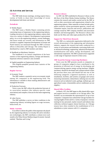### (5) Activities and Services

#### **Lectures**

The JMF holds lecture meetings, inviting experts from a variety of fields to share their knowledge of recent developments both home and abroad.

#### **Periodicals**

#### Weekly Report

The JMF issues a Weekly Report containing articles concerning issues of importance to the engineering industry. Leading executives in the engineering industry express their views on a variety of subjects. Developments in government policy vis-a-vis the engineering industry, current challenges, and future trends are covered, and information on JMF activities is supplied. Important developments in Europe and North America are monitored through the JMF's overseas offices in Bruxelles and Chicago. The weekly Report is distributed by e-mail to JMF members and others.

#### Handbook on Machinery Statistics

The handbook is an annual compilation of the basic statistics of the engineering industry, foreign and domestic. Important reference material is also included.

#### English pamphlet on Engineering Industry

This English pamphlet presents basic statistics of the engineering industry.

#### **Regular Surveys**

#### Economic Trend

The JMF conducts a quarterly survey on economic trends among 181 companies in the engineering field. The information is valuable to those making administrative and managerial decisions.

#### Production Forecasts

Twice a year, the JMF collects the production forecasts of its association members (the industry-specific trade associations) and compiles a forecast for the entire engineering industry.

#### Labor Survey

The JMF publishes a survey on labor conditions in the engineering industry including figures on wage increases, bonus levels, etc.

#### **Media Activities**

In an effort to inform the public of the important role played by the engineering industry in everyday life and to introduce new technologies, the JMF contributes a column twice each month to the Nihon Keizai Shinbun (Japan Economic Journal) entitled, "Machine and Living."

#### **Resource Library**

In 1987, the JMF established its Resource Library on the 4th floor of the Kikai Shinko Kaikan building. The library contains the research and studies carried out by the JMF as well as other associations and organizations related to the engineering industry. Other materials on hand include policy papers issued by various government agencies, council and committee reports, forecasts and surveys, publications and catalogs issued by JMF company members and association members and historiographies. The Resource Library also lends out the films and video-tapes produced by the JMF.

#### **Support for Third-Party Research**

The JMF, as a nationwide organization dedicated to the overall advancement of the engineering and information industry, supports the research and study conducted by a variety of associations and thinktanks concerning fields such as advanced technology, engineering, industrial development, standardization and safety, energy development, and international cooperation. The JMF is proud to have supported a wide range of important research in these areas.

#### **JMF Award for Energy-Conserving Machinery**

Every year the JMF presents awards to companies or groups of companies judged to have contributed to the promotion of efficient use of energy by developing and commercializing superior energy-saving machines. Eligible machinery should be developed and commercialized within the previous three years and should fall into one of the following categories: (1)general machinery as well as installations, facilities, and systems; (2) gauges and various measuring instruments; (3)machinery utilizing non-recycled resources such as industrial wastes, garbage, methane gas, and agricultural wastes. (Automobiles and air conditioners are not eligible.)

#### **Shared Office Facilities**

In March, 1972, the JMF began to offer shared office space and support services to members at its Chicago office. The facilities can accommodate the representatives of up to four companies. Companies have utilized the Chicago facilities for varying lengths of time and for a variety of purposes: overseas training for key personnel, market research and industry data collection, technical support, liaison functions, etc. Chicago tenures have often resulted in the establishment of U.S. subsidiaries or joint ventures with U.S. companies.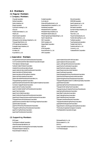### 4-2. Members

### (1) Regular Members

### Company Members

- Chiyoda Corporation Daihen Corporation Daikin Industries, Ltd. **EbaraCorporation** Fuji Electric Holding Co., Ltd. GloryLtd. Hirata Valve Industry Co., Ltd. Hitachi, Ltd. Hitachi Zosen Corporation Ishii Iron Works Co., Ltd. Ishikawajima-Harima Heavy Industries Co., Ltd. The Japan Steel Works, Ltd. JFE Engineering Corporation. Kawasaki Heavy Industries, Ltd. KobeSteel, Ltd. Komatsu, Ltd. Koyo Seiko Co., Ltd.
- Kubota Corporation Kurimoto Ltd. Makino Milling Machine Co., Ltd. Matsushita Electric Industrial Co., Ltd. Meidensha Corporation Mitsubishi Electric Corporation Mitsubishi Heavy Industries, Ltd. Mitsubishi Kakoki Kaisha, Ltd. Mitsui Engineering & Shipbuilding Co., Ltd. Nachi-Fujikoshi Corp. **NECCorporation** NGK Insulators, Ltd. NipponSteel Corporation **NSKLtd.** NTN Corporation Nunome Electric Co., Ltd. **OKK** Corporation
- Okuma**Corporation OMRONCaparation** Sanki Engineering Co., Ltd. Sanyo Electric Co., Ltd. ShimadzuCorporation Sumitomo Heavy Industries, Ltd. SUNX Limited TakumaCo.Ltd. Tokyo Kikai Seisakusho, Ltd. Torishima Pump Mfg. Co., Ltd. **ToshibaCorporation** Toyo Engineering Corporation Tsubakimoto Chain Co. Tsukishima Kikai Co. Ltd. Yanmar Co., Ltd. Yaskawa Electric Corporation

### Association Members

All Japan Machinist Hand Tools Manufacturers Association Communications and Information network Association of Japan The Fasteners Institute of Japan Hydraulic Gate & Penstock Association Industrial Diamond Association of Japan Japan Analytical Instruments Manufacturers' Association Japan Association of Defense Industry Japan Association of Rolling Stock Industries Japan Auto Parts Industries Association Japan Automobile Manufacturers Association, Inc. The Japan Bearing Industrial Association Japan Business Machine and Information System Industries Association Camera & Imaging Products Association Japan Cast Iron Foundry Association Japan Cemented Carbide Tool Manufacturers Association Japan Chain Association Japan Clock & Watch Association Japan Construction Equipment Manufacturers Association Japan Electric Measuring Instruments Manufacturer's Association The Japan Electrical Manufacturers' Association Japan Electronics and Information Technology Industries Association Japan Elevator Association Japan Farm Machinery Manufacturer's Association The Japan Food Machinery Manufacturers Association Japan Forming Machinery Association Japan Gear Manufacturers Association

### Japan Industrial Saw and Knife Association Japan Industrial Vehicles Association Japan Land Engine Manufacturers Association Japan Machine Tool Builders' Association Japan Machine Accessory Association Japan Measuring Instruments Federation Japan Fluid Power Association Japan Packaging Machinery Manufacturers Association Japan Precision Measuring Instruments Association Japan Printing Machinery Manufacturers Association The Japan Refrigeration and Air Conditioning Industry Association Japan Robot Association Japan Sewing Machinery Manufacturers Association The Japan Small Cutting Tools' Association The Japan Society of Industrial Machinery Manufacturers Japan Spring Manufacturers Association Japan Steel Constructors Association Japan Testing Machinery Association Japan Textile Machinery Association The Japan Valve Manufacturers' Association The Japan Wood Working Machinery Association Japanese Marine Equipment Association Nippon Electric Control Equipment Industries Association The Society of Japanese Aerospace Companies

### (2) Supporting Members

EMS Japan Fuji Research Institute Corporation Hitachi Business International, Ltd. Japan Information Technology Services Industry Association Mitsubishi Research Institute, Inc. Resona Research Institute, Inc.

Shinkawa Electric Co., Ltd. Shinko research Co., Ltd. SICKK K Toray Corporate Business Research, Inc. TUV Rheinland Japan

The Shipbuilder's Association of Japan